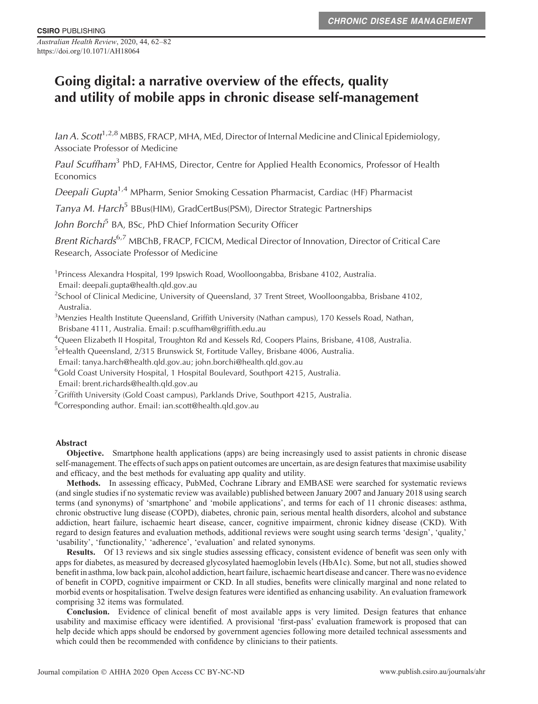2010, 44, 62–82 *Australian Health Review,* 2020, 44, 62 https://doi.org/10.1071/AH18064

# **Going digital: a narrative overview of the effects, quality and utility of mobile apps in chronic disease self-management**

*Ian A. Scott*1,2,8 MBBS, FRACP, MHA, MEd, Director of Internal Medicine and Clinical Epidemiology, Associate Professor of Medicine

*Paul Scuffham*<sup>3</sup> PhD, FAHMS, Director, Centre for Applied Health Economics, Professor of Health Economics

*Deepali Gupta*1,4 MPharm, Senior Smoking Cessation Pharmacist, Cardiac (HF) Pharmacist

*Tanya M. Harch*<sup>5</sup> BBus(HIM), GradCertBus(PSM), Director Strategic Partnerships

*John Borchi*<sup>5</sup> BA, BSc, PhD Chief Information Security Officer

*Brent Richards*6,7 MBChB, FRACP, FCICM, Medical Director of Innovation, Director of Critical Care Research, Associate Professor of Medicine

<sup>1</sup>Princess Alexandra Hospital, 199 Ipswich Road, Woolloongabba, Brisbane 4102, Australia. Email: [deepali.gupta@health.qld.gov.au](mailto:deepali.gupta@health.qld.gov.au)

<sup>2</sup>School of Clinical Medicine, University of Queensland, 37 Trent Street, Woolloongabba, Brisbane 4102, Australia.

<sup>3</sup>Menzies Health Institute Queensland, Griffith University (Nathan campus), 170 Kessels Road, Nathan, Brisbane 4111, Australia. Email: [p.scuffham@grif](mailto:p.scuffham@griffith.edu.au)fith.edu.au

4 Queen Elizabeth II Hospital, Troughton Rd and Kessels Rd, Coopers Plains, Brisbane, 4108, Australia.

<sup>5</sup>eHealth Queensland, 2/315 Brunswick St, Fortitude Valley, Brisbane 4006, Australia.

Email: [tanya.harch@health.qld.gov.au](mailto:tanya.harch@health.qld.gov.au); [john.borchi@health.qld.gov.au](mailto:john.borchi@health.qld.gov.au)

<sup>6</sup>Gold Coast University Hospital, 1 Hospital Boulevard, Southport 4215, Australia.

Email: [brent.richards@health.qld.gov.au](mailto:brent.richards@health.qld.gov.au)

<sup>7</sup> Griffith University (Gold Coast campus), Parklands Drive, Southport 4215, Australia.

<sup>8</sup>Corresponding author. Email: [ian.scott@health.qld.gov.au](mailto:ian.scott@health.qld.gov.au)

## **Abstract**

**Objective.** Smartphone health applications (apps) are being increasingly used to assist patients in chronic disease self-management. The effects of such apps on patient outcomes are uncertain, as are design features that maximise usability and efficacy, and the best methods for evaluating app quality and utility.

**Methods.** In assessing efficacy, PubMed, Cochrane Library and EMBASE were searched for systematic reviews (and single studies if no systematic review was available) published between January 2007 and January 2018 using search terms (and synonyms) of 'smartphone' and 'mobile applications', and terms for each of 11 chronic diseases: asthma, chronic obstructive lung disease (COPD), diabetes, chronic pain, serious mental health disorders, alcohol and substance addiction, heart failure, ischaemic heart disease, cancer, cognitive impairment, chronic kidney disease (CKD). With regard to design features and evaluation methods, additional reviews were sought using search terms 'design', 'quality,' 'usability', 'functionality,' 'adherence', 'evaluation' and related synonyms.

**Results.** Of 13 reviews and six single studies assessing efficacy, consistent evidence of benefit was seen only with apps for diabetes, as measured by decreased glycosylated haemoglobin levels (HbA1c). Some, but not all, studies showed benefit in asthma, low back pain, alcohol addiction, heart failure, ischaemic heart disease and cancer. There was no evidence of benefit in COPD, cognitive impairment or CKD. In all studies, benefits were clinically marginal and none related to morbid events or hospitalisation. Twelve design features were identified as enhancing usability. An evaluation framework comprising 32 items was formulated.

**Conclusion.** Evidence of clinical benefit of most available apps is very limited. Design features that enhance usability and maximise efficacy were identified. A provisional 'first-pass' evaluation framework is proposed that can help decide which apps should be endorsed by government agencies following more detailed technical assessments and which could then be recommended with confidence by clinicians to their patients.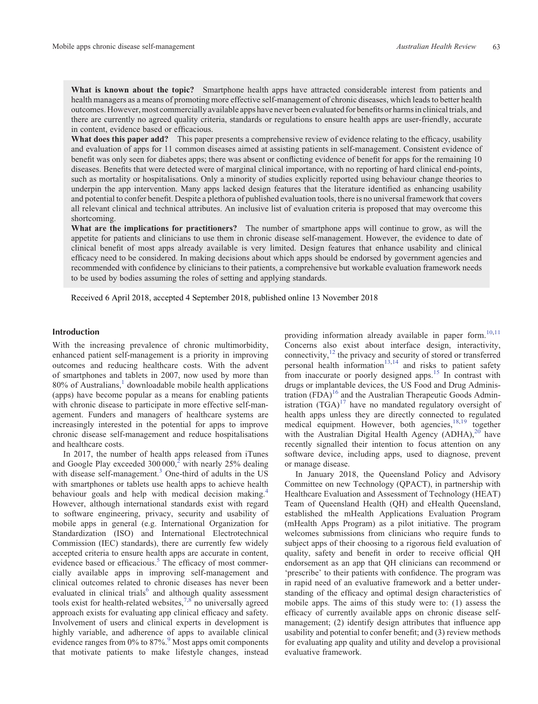**What is known about the topic?** Smartphone health apps have attracted considerable interest from patients and health managers as a means of promoting more effective self-management of chronic diseases, which leads to better health outcomes. However, most commercially available apps have never been evaluated for benefits or harms in clinical trials, and there are currently no agreed quality criteria, standards or regulations to ensure health apps are user-friendly, accurate in content, evidence based or efficacious.

What does this paper add? This paper presents a comprehensive review of evidence relating to the efficacy, usability and evaluation of apps for 11 common diseases aimed at assisting patients in self-management. Consistent evidence of benefit was only seen for diabetes apps; there was absent or conflicting evidence of benefit for apps for the remaining 10 diseases. Benefits that were detected were of marginal clinical importance, with no reporting of hard clinical end-points, such as mortality or hospitalisations. Only a minority of studies explicitly reported using behaviour change theories to underpin the app intervention. Many apps lacked design features that the literature identified as enhancing usability and potential to confer benefit. Despite a plethora of published evaluation tools, there is no universal framework that covers all relevant clinical and technical attributes. An inclusive list of evaluation criteria is proposed that may overcome this shortcoming.

**What are the implications for practitioners?** The number of smartphone apps will continue to grow, as will the appetite for patients and clinicians to use them in chronic disease self-management. However, the evidence to date of clinical benefit of most apps already available is very limited. Design features that enhance usability and clinical efficacy need to be considered. In making decisions about which apps should be endorsed by government agencies and recommended with confidence by clinicians to their patients, a comprehensive but workable evaluation framework needs to be used by bodies assuming the roles of setting and applying standards.

Received 6 April 2018, accepted 4 September 2018, published online 13 November 2018

## **Introduction**

With the increasing prevalence of chronic multimorbidity, enhanced patient self-management is a priority in improving outcomes and reducing healthcare costs. With the advent of smartphones and tablets in 2007, now used by more than  $80\%$  of Australians,<sup>1</sup> downloadable mobile health applications (apps) have become popular as a means for enabling patients with chronic disease to participate in more effective self-management. Funders and managers of healthcare systems are increasingly interested in the potential for apps to improve chronic disease self-management and reduce hospitalisations and healthcare costs.

In 2017, the number of health apps released from iTunes and Google Play exceeded  $300\,000$ ,<sup>[2](#page-7-0)</sup> with nearly 25% dealing with disease self-management. $3$  One-third of adults in the US with smartphones or tablets use health apps to achieve health behaviour goals and help with medical decision making.<sup>[4](#page--1-0)</sup> However, although international standards exist with regard to software engineering, privacy, security and usability of mobile apps in general (e.g. International Organization for Standardization (ISO) and International Electrotechnical Commission (IEC) standards), there are currently few widely accepted criteria to ensure health apps are accurate in content, evidence based or efficacious.<sup>5</sup> The efficacy of most commercially available apps in improving self-management and clinical outcomes related to chronic diseases has never been evaluated in clinical trials<sup>[6](#page-8-0)</sup> and although quality assessment tools exist for health-related websites,<sup>7,[8](#page-8-0)</sup> no universally agreed approach exists for evaluating app clinical efficacy and safety. Involvement of users and clinical experts in development is highly variable, and adherence of apps to available clinical evidence ranges from 0% to 87%.<sup>[9](#page--1-0)</sup> Most apps omit components that motivate patients to make lifestyle changes, instead

providing information already available in paper form.<sup>10[,11](#page--1-0)</sup> Concerns also exist about interface design, interactivity, connectivity[,12](#page--1-0) the privacy and security of stored or transferred personal health information<sup>13[,14](#page--1-0)</sup> and risks to patient safety from inaccurate or poorly designed apps.<sup>[15](#page-8-0)</sup> In contrast with drugs or implantable devices, the US Food and Drug Adminis-tration (FDA)<sup>[16](#page--1-0)</sup> and the Australian Therapeutic Goods Administration  $(TGA)^{17}$  $(TGA)^{17}$  $(TGA)^{17}$  have no mandated regulatory oversight of health apps unless they are directly connected to regulated medical equipment. However, both agencies, <sup>18,[19](#page-8-0)</sup> together with the Australian Digital Health Agency (ADHA), $^{20}$  have recently signalled their intention to focus attention on any software device, including apps, used to diagnose, prevent or manage disease.

In January 2018, the Queensland Policy and Advisory Committee on new Technology (QPACT), in partnership with Healthcare Evaluation and Assessment of Technology (HEAT) Team of Queensland Health (QH) and eHealth Queensland, established the mHealth Applications Evaluation Program (mHealth Apps Program) as a pilot initiative. The program welcomes submissions from clinicians who require funds to subject apps of their choosing to a rigorous field evaluation of quality, safety and benefit in order to receive official QH endorsement as an app that QH clinicians can recommend or 'prescribe' to their patients with confidence. The program was in rapid need of an evaluative framework and a better understanding of the efficacy and optimal design characteristics of mobile apps. The aims of this study were to: (1) assess the efficacy of currently available apps on chronic disease selfmanagement; (2) identify design attributes that influence app usability and potential to confer benefit; and (3) review methods for evaluating app quality and utility and develop a provisional evaluative framework.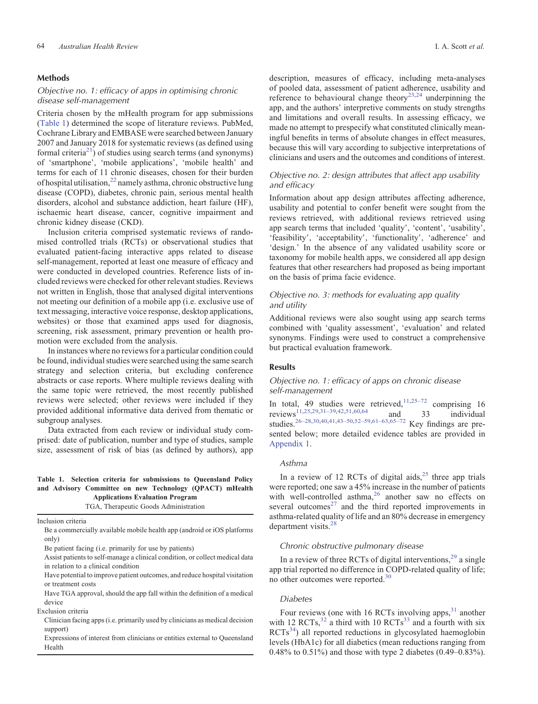## **Methods**

## *Objective no. 1: efficacy of apps in optimising chronic disease self-management*

Criteria chosen by the mHealth program for app submissions (Table 1) determined the scope of literature reviews. PubMed, Cochrane Library and EMBASE were searched between January 2007 and January 2018 for systematic reviews (as defined using formal criteria<sup>21</sup>) of studies using search terms (and synonyms) of 'smartphone', 'mobile applications', 'mobile health' and terms for each of 11 chronic diseases, chosen for their burden of hospital utilisation,  $2^2$  namely asthma, chronic obstructive lung disease (COPD), diabetes, chronic pain, serious mental health disorders, alcohol and substance addiction, heart failure (HF), ischaemic heart disease, cancer, cognitive impairment and chronic kidney disease (CKD).

Inclusion criteria comprised systematic reviews of randomised controlled trials (RCTs) or observational studies that evaluated patient-facing interactive apps related to disease self-management, reported at least one measure of efficacy and were conducted in developed countries. Reference lists of included reviews were checked for other relevant studies. Reviews not written in English, those that analysed digital interventions not meeting our definition of a mobile app (i.e. exclusive use of text messaging, interactive voice response, desktop applications, websites) or those that examined apps used for diagnosis, screening, risk assessment, primary prevention or health promotion were excluded from the analysis.

In instances where no reviews for a particular condition could be found, individual studies were searched using the same search strategy and selection criteria, but excluding conference abstracts or case reports. Where multiple reviews dealing with the same topic were retrieved, the most recently published reviews were selected; other reviews were included if they provided additional informative data derived from thematic or subgroup analyses.

Data extracted from each review or individual study comprised: date of publication, number and type of studies, sample size, assessment of risk of bias (as defined by authors), app

#### **Table 1. Selection criteria for submissions to Queensland Policy and Advisory Committee on new Technology (QPACT) mHealth Applications Evaluation Program**

TGA, Therapeutic Goods Administration

Inclusion criteria

Be a commercially available mobile health app (android or iOS platforms only)

Be patient facing (i.e. primarily for use by patients)

Assist patients to self-manage a clinical condition, or collect medical data in relation to a clinical condition

Have potential to improve patient outcomes, and reduce hospital visitation or treatment costs

Have TGA approval, should the app fall within the definition of a medical device

Exclusion criteria

Clinician facing apps (i.e. primarily used by clinicians as medical decision support)

Expressions of interest from clinicians or entities external to Queensland Health

description, measures of efficacy, including meta-analyses of pooled data, assessment of patient adherence, usability and reference to behavioural change theory<sup>[23,24](#page-8-0)</sup> underpinning the app, and the authors' interpretive comments on study strengths and limitations and overall results. In assessing efficacy, we made no attempt to prespecify what constituted clinically meaningful benefits in terms of absolute changes in effect measures, because this will vary according to subjective interpretations of clinicians and users and the outcomes and conditions of interest.

## *Objective no. 2: design attributes that affect app usability and efficacy*

Information about app design attributes affecting adherence, usability and potential to confer benefit were sought from the reviews retrieved, with additional reviews retrieved using app search terms that included 'quality', 'content', 'usability', 'feasibility', 'acceptability', 'functionality', 'adherence' and 'design.' In the absence of any validated usability score or taxonomy for mobile health apps, we considered all app design features that other researchers had proposed as being important on the basis of prima facie evidence.

## *Objective no. 3: methods for evaluating app quality and utility*

Additional reviews were also sought using app search terms combined with 'quality assessment', 'evaluation' and related synonyms. Findings were used to construct a comprehensive but practical evaluation framework.

#### **Results**

## *Objective no. 1: efficacy of apps on chronic disease self-management*

In total, 49 studies were retrieved,  $11,25-72$  $11,25-72$  $11,25-72$  $11,25-72$  comprising 16 reviews<sup>[11](#page--1-0)[,25,29](#page-8-0)[,31](#page-9-0)–[39,42,51](#page-9-0)[,60,64](#page-10-0)</sup> and 33 individual studies.<sup>[26](#page-8-0)–[28,](#page-8-0)[30,40,41](#page-9-0),[43](#page-9-0)–[50,52](#page-9-0)–[59](#page-10-0),[61](#page-10-0)–[63,65](#page-10-0)–[72](#page-10-0)</sup> Key findings are presented below; more detailed evidence tables are provided in [Appendix](#page-12-0) 1.

## *Asthma*

In a review of 12 RCTs of digital aids, $^{25}$  three app trials were reported; one saw a 45% increase in the number of patients with well-controlled asthma, $26$  another saw no effects on several outcomes $27$  and the third reported improvements in asthma-related quality of life and an 80% decrease in emergency department visits.<sup>[28](#page-8-0)</sup>

#### *Chronic obstructive pulmonary disease*

In a review of three RCTs of digital interventions,  $2^9$  a single app trial reported no difference in COPD-related quality of life; no other outcomes were reported.<sup>[30](#page-9-0)</sup>

## *Diabetes*

Four reviews (one with 16 RCTs involving apps, $31$  another with 12 RCTs, $32$  a third with 10 RCTs $33$  and a fourth with six  $RCTs<sup>34</sup>$  $RCTs<sup>34</sup>$  $RCTs<sup>34</sup>$ ) all reported reductions in glycosylated haemoglobin levels (HbA1c) for all diabetics (mean reductions ranging from 0.48% to 0.51%) and those with type 2 diabetes (0.49–0.83%).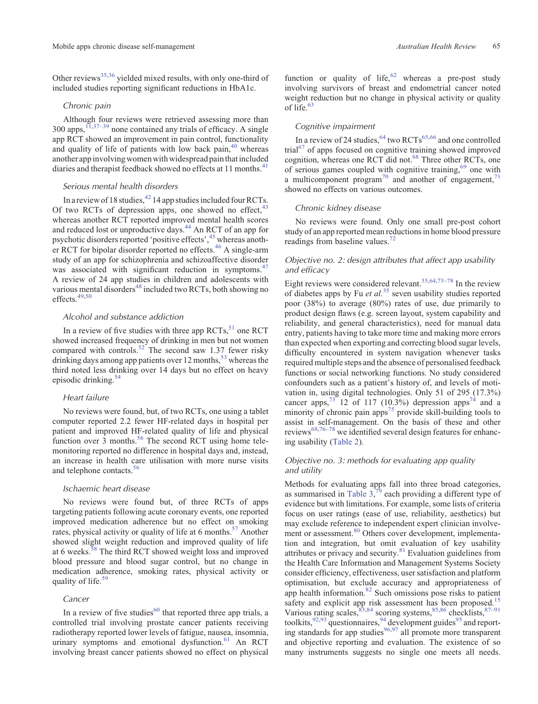Other reviews<sup>[35,36](#page-9-0)</sup> yielded mixed results, with only one-third of included studies reporting significant reductions in HbA1c.

## *Chronic pain*

Although four reviews were retrieved assessing more than 300 apps,  $^{11,37-39}$  $^{11,37-39}$  $^{11,37-39}$  $^{11,37-39}$  $^{11,37-39}$  $^{11,37-39}$  none contained any trials of efficacy. A single app RCT showed an improvement in pain control, functionality and quality of life of patients with low back pain,  $40$  whereas another appinvolving women with widespread painthatincluded diaries and therapist feedback showed no effects at  $11$  months.<sup>41</sup>

## *Serious mental health disorders*

In a review of 18 studies,  $42$  14 app studies included four RCTs. Of two RCTs of depression apps, one showed no effect, $43$ whereas another RCT reported improved mental health scores and reduced lost or unproductive days.<sup>[44](#page-9-0)</sup> An RCT of an app for psychotic disorders reported 'positive effects', [45](#page-9-0) whereas anoth-er RCT for bipolar disorder reported no effects.<sup>[46](#page-9-0)</sup> A single-arm study of an app for schizophrenia and schizoaffective disorder was associated with significant reduction in symptoms.<sup>47</sup> A review of 24 app studies in children and adolescents with various mental disorders<sup>[48](#page-9-0)</sup> included two RCTs, both showing no effects. $49,50$ 

## *Alcohol and substance addiction*

In a review of five studies with three app  $RCTs$ ,<sup>[51](#page-9-0)</sup> one RCT showed increased frequency of drinking in men but not women compared with controls.<sup>[52](#page-9-0)</sup> The second saw 1.37 fewer risky drinking days among app patients over 12 months,  $53$  whereas the third noted less drinking over 14 days but no effect on heavy episodic drinking.<sup>[54](#page-9-0)</sup>

## *Heart failure*

No reviews were found, but, of two RCTs, one using a tablet computer reported 2.2 fewer HF-related days in hospital per patient and improved HF-related quality of life and physical function over  $\frac{1}{3}$  months.<sup>[56](#page-9-0)</sup> The second RCT using home telemonitoring reported no difference in hospital days and, instead, an increase in health care utilisation with more nurse visits and telephone contacts.<sup>56</sup>

#### *Ischaemic heart disease*

No reviews were found but, of three RCTs of apps targeting patients following acute coronary events, one reported improved medication adherence but no effect on smoking rates, physical activity or quality of life at 6 months.<sup>[57](#page-9-0)</sup> Another showed slight weight reduction and improved quality of life at 6 weeks.<sup>[58](#page-10-0)</sup> The third RCT showed weight loss and improved blood pressure and blood sugar control, but no change in medication adherence, smoking rates, physical activity or quality of life.<sup>[59](#page-10-0)</sup>

## *Cancer*

In a review of five studies<sup>[60](#page-10-0)</sup> that reported three app trials, a controlled trial involving prostate cancer patients receiving radiotherapy reported lower levels of fatigue, nausea, insomnia, urinary symptoms and emotional dysfunction.<sup>[61](#page-10-0)</sup> An RCT involving breast cancer patients showed no effect on physical

function or quality of life,  $62$  whereas a pre-post study involving survivors of breast and endometrial cancer noted weight reduction but no change in physical activity or quality of life. $63$ 

#### *Cognitive impairment*

In a review of 24 studies,  $64$  two RCTs<sup>[65](#page-10-0),[66](#page-10-0)</sup> and one controlled trial<sup>[67](#page-10-0)</sup> of apps focused on cognitive training showed improved cognition, whereas one RCT did not.<sup>[68](#page-10-0)</sup> Three other RCTs, one of serious games coupled with cognitive training,  $69$  one with a multicomponent program<sup>[70](#page-10-0)</sup> and another of engagement,<sup>7</sup> showed no effects on various outcomes.

#### *Chronic kidney disease*

No reviews were found. Only one small pre-post cohort study of an app reported mean reductions in home blood pressure readings from baseline values.<sup>[72](#page-10-0)</sup>

## *Objective no. 2: design attributes that affect app usability and efficacy*

Eight reviews were considered relevant.<sup>[35](#page-9-0)[,64,73](#page-10-0)–[78](#page-10-0)</sup> In the review of diabetes apps by Fu *et al.*[35](#page-9-0) seven usability studies reported poor (38%) to average (80%) rates of use, due primarily to product design flaws (e.g. screen layout, system capability and reliability, and general characteristics), need for manual data entry, patients having to take more time and making more errors than expected when exporting and correcting blood sugar levels, difficulty encountered in system navigation whenever tasks required multiple steps and the absence of personalised feedback functions or social networking functions. No study considered confounders such as a patient's history of, and levels of motivation in, using digital technologies. Only 51 of 295 (17.3%) cancer apps,  $^{73}$  12 of 117 (10.3%) depression apps<sup>[74](#page-10-0)</sup> and a minority of chronic pain apps<sup>[75](#page-10-0)</sup> provide skill-building tools to assist in self-management. On the basis of these and other reviews<sup>[68,76](#page-10-0)–[78](#page-10-0)</sup> we identified several design features for enhancing usability [\(Table](#page-4-0) 2).

## *Objective no. 3: methods for evaluating app quality and utility*

Methods for evaluating apps fall into three broad categories, as summarised in [Table](#page-4-0)  $3<sup>79</sup>$  $3<sup>79</sup>$  $3<sup>79</sup>$  each providing a different type of evidence but with limitations. For example, some lists of criteria focus on user ratings (ease of use, reliability, aesthetics) but may exclude reference to independent expert clinician involve-ment or assessment.<sup>[80](#page-10-0)</sup> Others cover development, implementation and integration, but omit evaluation of key usability attributes or privacy and security.[81](#page-10-0) Evaluation guidelines from the Health Care Information and Management Systems Society consider efficiency, effectiveness, user satisfaction and platform optimisation, but exclude accuracy and appropriateness of app health information.<sup>[82](#page-10-0)</sup> Such omissions pose risks to patient safety and explicit app risk assessment has been proposed.<sup>[15](#page-8-0)</sup> Various rating scales, 83,[84](#page-10-0) scoring systems, 85,86 checklists, 87-[91](#page-11-0) toolkits,  $92,93$  questionnaires,  $94$  development guides  $95$  and report-ing standards for app studies<sup>[96,97](#page-11-0)</sup> all promote more transparent and objective reporting and evaluation. The existence of so many instruments suggests no single one meets all needs.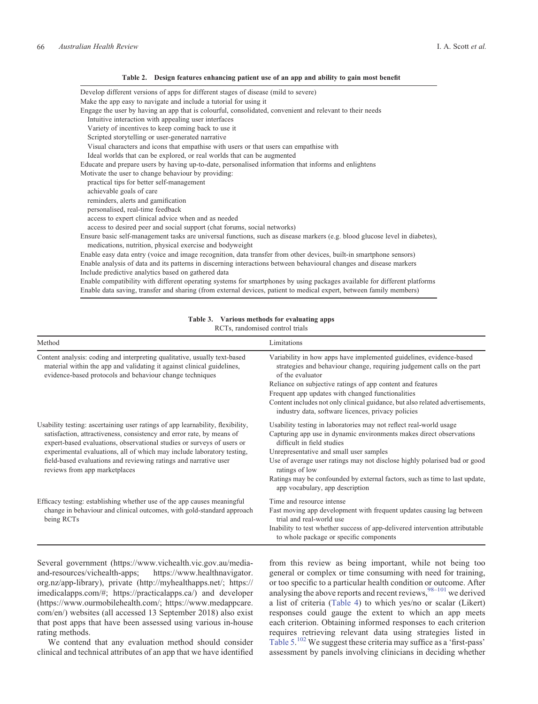## **Table 2. Design features enhancing patient use of an app and ability to gain most benefit**

<span id="page-4-0"></span>

| Develop different versions of apps for different stages of disease (mild to severe)                                         |
|-----------------------------------------------------------------------------------------------------------------------------|
| Make the app easy to navigate and include a tutorial for using it                                                           |
| Engage the user by having an app that is colourful, consolidated, convenient and relevant to their needs                    |
| Intuitive interaction with appealing user interfaces                                                                        |
| Variety of incentives to keep coming back to use it                                                                         |
| Scripted storytelling or user-generated narrative                                                                           |
| Visual characters and icons that empathise with users or that users can empathise with                                      |
| Ideal worlds that can be explored, or real worlds that can be augmented                                                     |
| Educate and prepare users by having up-to-date, personalised information that informs and enlightens                        |
| Motivate the user to change behaviour by providing:                                                                         |
| practical tips for better self-management                                                                                   |
| achievable goals of care                                                                                                    |
| reminders, alerts and gamification                                                                                          |
| personalised, real-time feedback                                                                                            |
| access to expert clinical advice when and as needed                                                                         |
| access to desired peer and social support (chat forums, social networks)                                                    |
| Ensure basic self-management tasks are universal functions, such as disease markers (e.g. blood glucose level in diabetes). |
| medications, nutrition, physical exercise and bodyweight                                                                    |
| Enable easy data entry (voice and image recognition, data transfer from other devices, built-in smartphone sensors)         |
| Enable analysis of data and its patterns in discerning interactions between behavioural changes and disease markers         |
| Include predictive analytics based on gathered data                                                                         |
| Enable compatibility with different operating systems for smartphones by using packages available for different platforms   |
| Enable data saving, transfer and sharing (from external devices, patient to medical expert, between family members)         |

#### **Table 3. Various methods for evaluating apps**

RCTs, randomised control trials

| Method                                                                                                                                                                                                                                                                                                                                                                                                           | Limitations                                                                                                                                                                                                                                                                                                                                                                                                                         |
|------------------------------------------------------------------------------------------------------------------------------------------------------------------------------------------------------------------------------------------------------------------------------------------------------------------------------------------------------------------------------------------------------------------|-------------------------------------------------------------------------------------------------------------------------------------------------------------------------------------------------------------------------------------------------------------------------------------------------------------------------------------------------------------------------------------------------------------------------------------|
| Content analysis: coding and interpreting qualitative, usually text-based<br>material within the app and validating it against clinical guidelines,<br>evidence-based protocols and behaviour change techniques                                                                                                                                                                                                  | Variability in how apps have implemented guidelines, evidence-based<br>strategies and behaviour change, requiring judgement calls on the part<br>of the evaluator<br>Reliance on subjective ratings of app content and features<br>Frequent app updates with changed functionalities<br>Content includes not only clinical guidance, but also related advertisements,<br>industry data, software licences, privacy policies         |
| Usability testing: ascertaining user ratings of app learnability, flexibility,<br>satisfaction, attractiveness, consistency and error rate, by means of<br>expert-based evaluations, observational studies or surveys of users or<br>experimental evaluations, all of which may include laboratory testing,<br>field-based evaluations and reviewing ratings and narrative user<br>reviews from app marketplaces | Usability testing in laboratories may not reflect real-world usage<br>Capturing app use in dynamic environments makes direct observations<br>difficult in field studies<br>Unrepresentative and small user samples<br>Use of average user ratings may not disclose highly polarised bad or good<br>ratings of low<br>Ratings may be confounded by external factors, such as time to last update,<br>app vocabulary, app description |
| Efficacy testing: establishing whether use of the app causes meaningful<br>change in behaviour and clinical outcomes, with gold-standard approach<br>being RCTs                                                                                                                                                                                                                                                  | Time and resource intense<br>Fast moving app development with frequent updates causing lag between<br>trial and real-world use<br>Inability to test whether success of app-delivered intervention attributable<br>to whole package or specific components                                                                                                                                                                           |

Several government ([https://www.vichealth.vic.gov.au/media](https://www.vichealth.vic.gov.au/media-and-resources/vichealth-apps)[and-resources/vichealth-apps](https://www.vichealth.vic.gov.au/media-and-resources/vichealth-apps); [https://www.healthnavigator.](https://www.healthnavigator.org.nz/app-library) [org.nz/app-library\)](https://www.healthnavigator.org.nz/app-library), private (<http://myhealthapps.net/>; [https://](https://imedicalapps.com/#) [imedicalapps.com/#](https://imedicalapps.com/#); [https://practicalapps.ca/\)](https://practicalapps.ca/) and developer [\(https://www.ourmobilehealth.com/;](https://www.ourmobilehealth.com/) [https://www.medappcare.](https://www.medappcare.com/en/) [com/en/\)](https://www.medappcare.com/en/) websites (all accessed 13 September 2018) also exist that post apps that have been assessed using various in-house rating methods.

We contend that any evaluation method should consider clinical and technical attributes of an app that we have identified

from this review as being important, while not being too general or complex or time consuming with need for training, or too specific to a particular health condition or outcome. After analysing the above reports and recent reviews,  $98-101$  $98-101$  $98-101$  we derived a list of criteria ([Table](#page-5-0) 4) to which yes/no or scalar (Likert) responses could gauge the extent to which an app meets each criterion. Obtaining informed responses to each criterion requires retrieving relevant data using strategies listed in [Table](#page-11-0) 5. [102](#page-11-0) We suggest these criteria may suffice as a 'first-pass' assessment by panels involving clinicians in deciding whether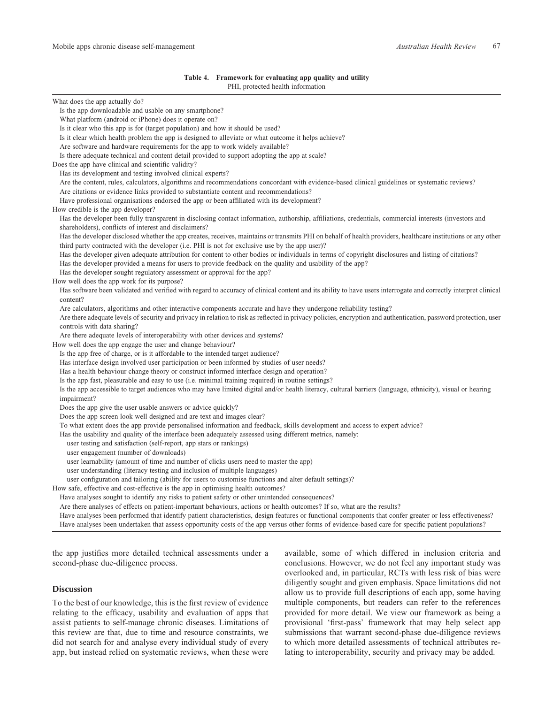<span id="page-5-0"></span>What does the app actually do?

#### **Table 4. Framework for evaluating app quality and utility**

#### PHI, protected health information

Is the app downloadable and usable on any smartphone? What platform (android or iPhone) does it operate on? Is it clear who this app is for (target population) and how it should be used? Is it clear which health problem the app is designed to alleviate or what outcome it helps achieve? Are software and hardware requirements for the app to work widely available? Is there adequate technical and content detail provided to support adopting the app at scale? Does the app have clinical and scientific validity? Has its development and testing involved clinical experts? Are the content, rules, calculators, algorithms and recommendations concordant with evidence-based clinical guidelines or systematic reviews? Are citations or evidence links provided to substantiate content and recommendations? Have professional organisations endorsed the app or been affiliated with its development? How credible is the app developer? Has the developer been fully transparent in disclosing contact information, authorship, affiliations, credentials, commercial interests (investors and shareholders), conflicts of interest and disclaimers? Has the developer disclosed whether the app creates, receives, maintains or transmits PHI on behalf of health providers, healthcare institutions or any other third party contracted with the developer (i.e. PHI is not for exclusive use by the app user)? Has the developer given adequate attribution for content to other bodies or individuals in terms of copyright disclosures and listing of citations? Has the developer provided a means for users to provide feedback on the quality and usability of the app? Has the developer sought regulatory assessment or approval for the app? How well does the app work for its purpose? Has software been validated and verified with regard to accuracy of clinical content and its ability to have users interrogate and correctly interpret clinical content? Are calculators, algorithms and other interactive components accurate and have they undergone reliability testing? Are there adequate levels of security and privacy in relation to risk as reflected in privacy policies, encryption and authentication, password protection, user controls with data sharing? Are there adequate levels of interoperability with other devices and systems? How well does the app engage the user and change behaviour? Is the app free of charge, or is it affordable to the intended target audience? Has interface design involved user participation or been informed by studies of user needs? Has a health behaviour change theory or construct informed interface design and operation? Is the app fast, pleasurable and easy to use (i.e. minimal training required) in routine settings? Is the app accessible to target audiences who may have limited digital and/or health literacy, cultural barriers (language, ethnicity), visual or hearing impairment? Does the app give the user usable answers or advice quickly? Does the app screen look well designed and are text and images clear? To what extent does the app provide personalised information and feedback, skills development and access to expert advice? Has the usability and quality of the interface been adequately assessed using different metrics, namely: user testing and satisfaction (self-report, app stars or rankings) user engagement (number of downloads) user learnability (amount of time and number of clicks users need to master the app) user understanding (literacy testing and inclusion of multiple languages) user configuration and tailoring (ability for users to customise functions and alter default settings)? How safe, effective and cost-effective is the app in optimising health outcomes? Have analyses sought to identify any risks to patient safety or other unintended consequences? Are there analyses of effects on patient-important behaviours, actions or health outcomes? If so, what are the results? Have analyses been performed that identify patient characteristics, design features or functional components that confer greater or less effectiveness? Have analyses been undertaken that assess opportunity costs of the app versus other forms of evidence-based care for specific patient populations?

the app justifies more detailed technical assessments under a second-phase due-diligence process.

# **Discussion**

To the best of our knowledge, this is the first review of evidence relating to the efficacy, usability and evaluation of apps that assist patients to self-manage chronic diseases. Limitations of this review are that, due to time and resource constraints, we did not search for and analyse every individual study of every app, but instead relied on systematic reviews, when these were

available, some of which differed in inclusion criteria and conclusions. However, we do not feel any important study was overlooked and, in particular, RCTs with less risk of bias were diligently sought and given emphasis. Space limitations did not allow us to provide full descriptions of each app, some having multiple components, but readers can refer to the references provided for more detail. We view our framework as being a provisional 'first-pass' framework that may help select app submissions that warrant second-phase due-diligence reviews to which more detailed assessments of technical attributes relating to interoperability, security and privacy may be added.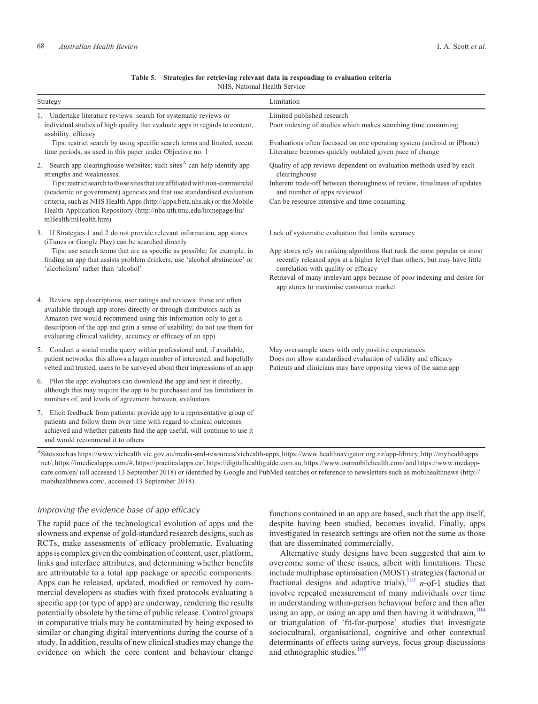|  | Table 5. Strategies for retrieving relevant data in responding to evaluation criteria |  |  |  |  |  |  |
|--|---------------------------------------------------------------------------------------|--|--|--|--|--|--|
|--|---------------------------------------------------------------------------------------|--|--|--|--|--|--|

NHS, National Health Service

| Limitation                                                                                                                                                                                                                                                                                                                                                                 |
|----------------------------------------------------------------------------------------------------------------------------------------------------------------------------------------------------------------------------------------------------------------------------------------------------------------------------------------------------------------------------|
| Limited published research<br>Poor indexing of studies which makes searching time consuming<br>Evaluations often focussed on one operating system (android or iPhone)<br>Literature becomes quickly outdated given pace of change                                                                                                                                          |
| Quality of app reviews dependent on evaluation methods used by each<br>clearinghouse<br>Inherent trade-off between thoroughness of review, timeliness of updates<br>and number of apps reviewed<br>Can be resource intensive and time consuming                                                                                                                            |
| Lack of systematic evaluation that limits accuracy<br>App stores rely on ranking algorithms that rank the most popular or most<br>recently released apps at a higher level than others, but may have little<br>correlation with quality or efficacy<br>Retrieval of many irrelevant apps because of poor indexing and desire for<br>app stores to maximise consumer market |
|                                                                                                                                                                                                                                                                                                                                                                            |
| May oversample users with only positive experiences<br>Does not allow standardised evaluation of validity and efficacy<br>Patients and clinicians may have opposing views of the same app                                                                                                                                                                                  |
|                                                                                                                                                                                                                                                                                                                                                                            |
|                                                                                                                                                                                                                                                                                                                                                                            |
|                                                                                                                                                                                                                                                                                                                                                                            |

[net/](http://myhealthapps.net/); [https://imedicalapps.com/#,](https://imedicalapps.com/#)<https://practicalapps.ca/>, [https://digitalhealthguide.com.au,](https://digitalhealthguide.com.au)<https://www.ourmobilehealth.com/> and [https://www.medapp](https://www.medappcare.com/en/)[care.com/en/](https://www.medappcare.com/en/) (all accessed 13 September 2018) or identified by Google and PubMed searches or reference to newsletters such as mobihealthnews [\(http://](http://mobihealthnews.com/) [mobihealthnews.com/,](http://mobihealthnews.com/) accessed 13 September 2018).

## *Improving the evidence base of app efficacy*

The rapid pace of the technological evolution of apps and the slowness and expense of gold-standard research designs, such as RCTs, make assessments of efficacy problematic. Evaluating apps is complex given the combination of content, user, platform, links and interface attributes, and determining whether benefits are attributable to a total app package or specific components. Apps can be released, updated, modified or removed by commercial developers as studies with fixed protocols evaluating a specific app (or type of app) are underway, rendering the results potentially obsolete by the time of public release. Control groups in comparative trials may be contaminated by being exposed to similar or changing digital interventions during the course of a study. In addition, results of new clinical studies may change the evidence on which the core content and behaviour change

functions contained in an app are based, such that the app itself, despite having been studied, becomes invalid. Finally, apps investigated in research settings are often not the same as those that are disseminated commercially.

Alternative study designs have been suggested that aim to overcome some of these issues, albeit with limitations. These include multiphase optimisation (MOST) strategies (factorial or fractional designs and adaptive trials), $103$  *n*-of-1 studies that involve repeated measurement of many individuals over time in understanding within-person behaviour before and then after using an app, or using an app and then having it withdrawn,  $104$ or triangulation of 'fit-for-purpose' studies that investigate sociocultural, organisational, cognitive and other contextual determinants of effects using surveys, focus group discussions and ethnographic studies.<sup>[105](#page-11-0)</sup>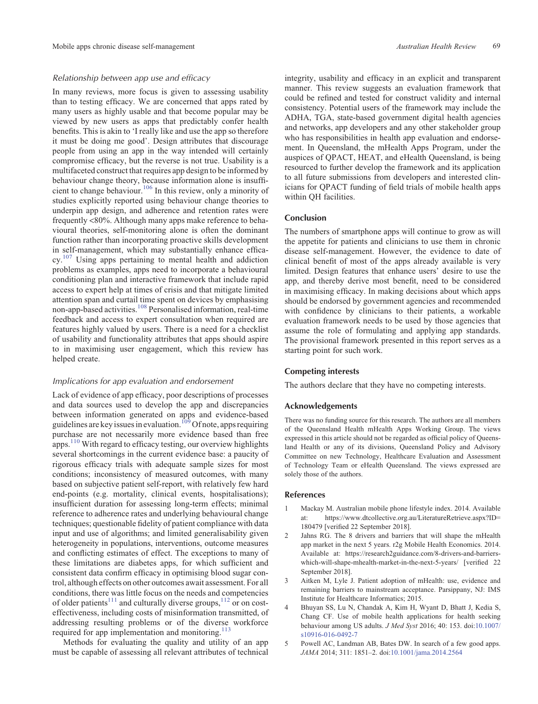## <span id="page-7-0"></span>*Relationship between app use and efficacy*

In many reviews, more focus is given to assessing usability than to testing efficacy. We are concerned that apps rated by many users as highly usable and that become popular may be viewed by new users as apps that predictably confer health benefits. This is akin to 'I really like and use the app so therefore it must be doing me good'. Design attributes that discourage people from using an app in the way intended will certainly compromise efficacy, but the reverse is not true. Usability is a multifaceted construct that requires app design to be informed by behaviour change theory, because information alone is insufficient to change behaviour.<sup>106</sup> In this review, only a minority of studies explicitly reported using behaviour change theories to underpin app design, and adherence and retention rates were frequently <80%. Although many apps make reference to behavioural theories, self-monitoring alone is often the dominant function rather than incorporating proactive skills development in self-management, which may substantially enhance efficacy[.107](#page-11-0) Using apps pertaining to mental health and addiction problems as examples, apps need to incorporate a behavioural conditioning plan and interactive framework that include rapid access to expert help at times of crisis and that mitigate limited attention span and curtail time spent on devices by emphasising non-app-based activities.<sup>[108](#page-11-0)</sup> Personalised information, real-time feedback and access to expert consultation when required are features highly valued by users. There is a need for a checklist of usability and functionality attributes that apps should aspire to in maximising user engagement, which this review has helped create.

#### *Implications for app evaluation and endorsement*

Lack of evidence of app efficacy, poor descriptions of processes and data sources used to develop the app and discrepancies between information generated on apps and evidence-based guidelines are key issues in evaluation.<sup>[109](#page-11-0)</sup> Of note, apps requiring purchase are not necessarily more evidence based than free apps.<sup>[110](#page-11-0)</sup> With regard to efficacy testing, our overview highlights several shortcomings in the current evidence base: a paucity of rigorous efficacy trials with adequate sample sizes for most conditions; inconsistency of measured outcomes, with many based on subjective patient self-report, with relatively few hard end-points (e.g. mortality, clinical events, hospitalisations); insufficient duration for assessing long-term effects; minimal reference to adherence rates and underlying behavioural change techniques; questionable fidelity of patient compliance with data input and use of algorithms; and limited generalisability given heterogeneity in populations, interventions, outcome measures and conflicting estimates of effect. The exceptions to many of these limitations are diabetes apps, for which sufficient and consistent data confirm efficacy in optimising blood sugar control, although effects on other outcomes await assessment. For all conditions, there was little focus on the needs and competencies of older patients<sup>111</sup> and culturally diverse groups,<sup>112</sup> or on costeffectiveness, including costs of misinformation transmitted, of addressing resulting problems or of the diverse workforce required for app implementation and monitoring.<sup>[113](#page-11-0)</sup>

Methods for evaluating the quality and utility of an app must be capable of assessing all relevant attributes of technical

integrity, usability and efficacy in an explicit and transparent manner. This review suggests an evaluation framework that could be refined and tested for construct validity and internal consistency. Potential users of the framework may include the ADHA, TGA, state-based government digital health agencies and networks, app developers and any other stakeholder group who has responsibilities in health app evaluation and endorsement. In Queensland, the mHealth Apps Program, under the auspices of QPACT, HEAT, and eHealth Queensland, is being resourced to further develop the framework and its application to all future submissions from developers and interested clinicians for QPACT funding of field trials of mobile health apps within QH facilities.

## **Conclusion**

The numbers of smartphone apps will continue to grow as will the appetite for patients and clinicians to use them in chronic disease self-management. However, the evidence to date of clinical benefit of most of the apps already available is very limited. Design features that enhance users' desire to use the app, and thereby derive most benefit, need to be considered in maximising efficacy. In making decisions about which apps should be endorsed by government agencies and recommended with confidence by clinicians to their patients, a workable evaluation framework needs to be used by those agencies that assume the role of formulating and applying app standards. The provisional framework presented in this report serves as a starting point for such work.

#### **Competing interests**

The authors declare that they have no competing interests.

#### **Acknowledgements**

There was no funding source for this research. The authors are all members of the Queensland Health mHealth Apps Working Group. The views expressed in this article should not be regarded as official policy of Queensland Health or any of its divisions, Queensland Policy and Advisory Committee on new Technology, Healthcare Evaluation and Assessment of Technology Team or eHealth Queensland. The views expressed are solely those of the authors.

#### **References**

- 1 Mackay M. Australian mobile phone lifestyle index. 2014. Available at: [https://www.dtcollective.org.au/LiteratureRetrieve.aspx?ID=](https://www.dtcollective.org.au/LiteratureRetrieve.aspx?ID=180479) [180479](https://www.dtcollective.org.au/LiteratureRetrieve.aspx?ID=180479) [verified 22 September 2018].
- 2 Jahns RG. The 8 drivers and barriers that will shape the mHealth app market in the next 5 years. r2g Mobile Health Economics. 2014. Available at: [https://research2guidance.com/8-drivers-and-barriers](https://research2guidance.com/8-drivers-and-barriers-which-will-shape-mhealth-market-in-the-next-5-years/)[which-will-shape-mhealth-market-in-the-next-5-years/](https://research2guidance.com/8-drivers-and-barriers-which-will-shape-mhealth-market-in-the-next-5-years/) [verified 22 September 2018].
- 3 Aitken M, Lyle J. Patient adoption of mHealth: use, evidence and remaining barriers to mainstream acceptance. Parsippany, NJ: IMS Institute for Healthcare Informatics; 2015.
- 4 Bhuyan SS, Lu N, Chandak A, Kim H, Wyant D, Bhatt J, Kedia S, Chang CF. Use of mobile health applications for health seeking behaviour among US adults. *J Med Syst* 2016; 40: 153. doi[:10.1007/](dx.doi.org/10.1007/s10916-016-0492-7) [s10916-016-0492-7](dx.doi.org/10.1007/s10916-016-0492-7)
- 5 Powell AC, Landman AB, Bates DW. In search of a few good apps. *JAMA* 2014; 311: 1851–2. doi[:10.1001/jama.2014.2564](dx.doi.org/10.1001/jama.2014.2564)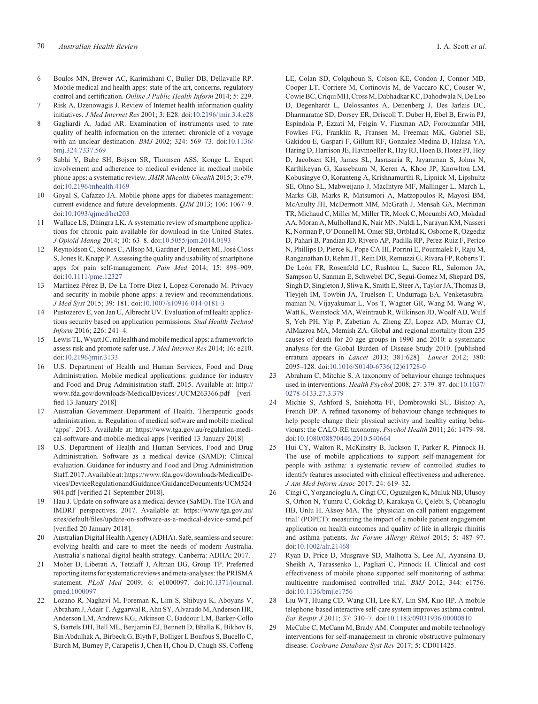- <span id="page-8-0"></span>6 Boulos MN, Brewer AC, Karimkhani C, Buller DB, Dellavalle RP. Mobile medical and health apps: state of the art, concerns, regulatory control and certification. *Online J Public Health Inform* 2014; 5: 229.
- 7 Risk A, Dzenowagis J. Review of Internet health information quality initiatives. *J Med Internet Res* 2001; 3: E28. doi[:10.2196/jmir.3.4.e28](dx.doi.org/10.2196/jmir.3.4.e28)
- 8 Gagliardi A, Jadad AR. Examination of instruments used to rate quality of health information on the internet: chronicle of a voyage with an unclear destination. *BMJ* 2002; 324: 569–73. doi[:10.1136/](dx.doi.org/10.1136/bmj.324.7337.569) [bmj.324.7337.569](dx.doi.org/10.1136/bmj.324.7337.569)
- 9 Subhi Y, Bube SH, Bojsen SR, Thomsen ASS, Konge L. Expert involvement and adherence to medical evidence in medical mobile phone apps: a systematic review. *JMIR Mhealth Uhealth* 2015; 3: e79. doi[:10.2196/mhealth.4169](dx.doi.org/10.2196/mhealth.4169)
- 10 Goyal S, Cafazzo JA. Mobile phone apps for diabetes management: current evidence and future developments. *QJM* 2013; 106: 1067–9. doi[:10.1093/qjmed/hct203](dx.doi.org/10.1093/qjmed/hct203)
- 11 Wallace LS, Dhingra LK. A systematic review of smartphone applications for chronic pain available for download in the United States. *J Opioid Manag* 2014; 10: 63–8. doi[:10.5055/jom.2014.0193](dx.doi.org/10.5055/jom.2014.0193)
- 12 Reynoldson C, Stones C, Allsop M, Gardner P, Bennett MI, José Closs S, Jones R, Knapp P. Assessing the quality and usability of smartphone apps for pain self-management. *Pain Med* 2014; 15: 898–909. doi[:10.1111/pme.12327](dx.doi.org/10.1111/pme.12327)
- 13 Martínez-Pérez B, De La Torre-Diez I, Lopez-Coronado M. Privacy and security in mobile phone apps: a review and recommendations. *J Med Syst* 2015; 39: 181. doi:[10.1007/s10916-014-0181-3](dx.doi.org/10.1007/s10916-014-0181-3)
- 14 Pustozerov E, von Jan U, Albrecht UV. Evaluation of mHealth applications security based on application permissions. *Stud Health Technol Inform* 2016; 226: 241–4.
- 15 Lewis TL,Wyatt JC. mHealth and mobile medical apps: a frameworkto assess risk and promote safer use. *J Med Internet Res* 2014; 16: e210. doi[:10.2196/jmir.3133](dx.doi.org/10.2196/jmir.3133)
- 16 U.S. Department of Health and Human Services, Food and Drug Administration. Mobile medical applications: guidance for industry and Food and Drug Administration staff. 2015. Available at: [http://](http://www.fda.gov/downloads/MedicalDevices/./UCM263366.pdf) [www.fda.gov/downloads/MedicalDevices/./UCM263366.pdf](http://www.fda.gov/downloads/MedicalDevices/./UCM263366.pdf) [verified 13 January 2018]
- 17 Australian Government Department of Health. Therapeutic goods administration. n. Regulation of medical software and mobile medical 'apps'. 2013. Available at: [https://www.tga.gov.au/regulation-medi](https://www.tga.gov.au/regulation-medical-software-and-mobile-medical-apps)[cal-software-and-mobile-medical-apps](https://www.tga.gov.au/regulation-medical-software-and-mobile-medical-apps) [verified 13 January 2018]
- 18 U.S. Department of Health and Human Services, Food and Drug Administration. Software as a medical device (SAMD): Clinical evaluation. Guidance for industry and Food and Drug Administration Staff. 2017. Available at: [https://www.fda.gov/downloads/MedicalDe](https://www.fda.gov/downloads/MedicalDevices/DeviceRegulationandGuidance/GuidanceDocuments/UCM524904.pdf)[vices/DeviceRegulationandGuidance/GuidanceDocuments/UCM524](https://www.fda.gov/downloads/MedicalDevices/DeviceRegulationandGuidance/GuidanceDocuments/UCM524904.pdf) [904.pdf](https://www.fda.gov/downloads/MedicalDevices/DeviceRegulationandGuidance/GuidanceDocuments/UCM524904.pdf) [verified 21 September 2018].
- 19 Hau J. Update on software as a medical device (SaMD). The TGA and IMDRF perspectives. 2017. Available at: [https://www.tga.gov.au/](https://www.tga.gov.au/sites/default/files/update-on-software-as-a-medical-device-samd.pdf) sites/default/fi[les/update-on-software-as-a-medical-device-samd.pdf](https://www.tga.gov.au/sites/default/files/update-on-software-as-a-medical-device-samd.pdf) [verified 20 January 2018].
- 20 Australian Digital Health Agency (ADHA). Safe, seamless and secure: evolving health and care to meet the needs of modern Australia. Australia's national digital health strategy. Canberra: ADHA; 2017.
- 21 Moher D, Liberati A, Tetzlaff J, Altman DG, Group TP. Preferred reporting items for systematic reviews and meta-analyses: the PRISMA statement. *PLoS Med* 2009; 6: e1000097. doi:[10.1371/journal.](dx.doi.org/10.1371/journal.pmed.1000097) [pmed.1000097](dx.doi.org/10.1371/journal.pmed.1000097)
- 22 Lozano R, Naghavi M, Foreman K, Lim S, Shibuya K, Aboyans V, Abraham J, Adair T, Aggarwal R, Ahn SY, Alvarado M, Anderson HR, Anderson LM, Andrews KG, Atkinson C, Baddour LM, Barker-Collo S, Bartels DH, Bell ML, Benjamin EJ, Bennett D, Bhalla K, Bikbov B, Bin Abdulhak A, Birbeck G, Blyth F, Bolliger I, Boufous S, Bucello C, Burch M, Burney P, Carapetis J, Chen H, Chou D, Chugh SS, Coffeng
- LE, Colan SD, Colquhoun S, Colson KE, Condon J, Connor MD, Cooper LT, Corriere M, Cortinovis M, de Vaccaro KC, Couser W, Cowie BC,CriquiMH,CrossM, Dabhadkar KC, Dahodwala N, De Leo D, Degenhardt L, Delossantos A, Denenberg J, Des Jarlais DC, Dharmaratne SD, Dorsey ER, Driscoll T, Duber H, Ebel B, Erwin PJ, Espindola P, Ezzati M, Feigin V, Flaxman AD, Forouzanfar MH, Fowkes FG, Franklin R, Fransen M, Freeman MK, Gabriel SE, Gakidou E, Gaspari F, Gillum RF, Gonzalez-Medina D, Halasa YA, Haring D, Harrison JE, Havmoeller R, Hay RJ, Hoen B, Hotez PJ, Hoy D, Jacobsen KH, James SL, Jasrasaria R, Jayaraman S, Johns N, Karthikeyan G, Kassebaum N, Keren A, Khoo JP, Knowlton LM, Kobusingye O, Koranteng A, Krishnamurthi R, Lipnick M, Lipshultz SE, Ohno SL, Mabweijano J, MacIntyre MF, Mallinger L, March L, Marks GB, Marks R, Matsumori A, Matzopoulos R, Mayosi BM, McAnulty JH, McDermott MM, McGrath J, Mensah GA, Merriman TR, Michaud C, Miller M, Miller TR, Mock C, Mocumbi AO, Mokdad AA, Moran A, Mulholland K, Nair MN, Naldi L, Narayan KM, Nasseri K, Norman P, O'Donnell M, Omer SB, Ortblad K, Osborne R, Ozgediz D, Pahari B, Pandian JD, Rivero AP, Padilla RP, Perez-Ruiz F, Perico N, Phillips D, Pierce K, Pope CA III, Porrini E, Pourmalek F, Raju M, Ranganathan D, Rehm JT, Rein DB, Remuzzi G, Rivara FP, Roberts T, De León FR, Rosenfeld LC, Rushton L, Sacco RL, Salomon JA, Sampson U, Sanman E, Schwebel DC, Segui-Gomez M, Shepard DS, Singh D, Singleton J, Sliwa K, Smith E, Steer A, Taylor JA, Thomas B, Tleyjeh IM, Towbin JA, Truelsen T, Undurraga EA, Venketasubramanian N, Vijayakumar L, Vos T, Wagner GR, Wang M, Wang W, Watt K, Weinstock MA, Weintraub R, Wilkinson JD, Woolf AD, Wulf S, Yeh PH, Yip P, Zabetian A, Zheng ZJ, Lopez AD, Murray CJ, AlMazroa MA, Memish ZA. Global and regional mortality from 235 causes of death for 20 age groups in 1990 and 2010: a systematic analysis for the Global Burden of Disease Study 2010. [published erratum appears in *Lancet* 2013; 381:628] *Lancet* 2012; 380: 2095–128. doi:[10.1016/S0140-6736\(12\)61728-0](dx.doi.org/10.1016/S0140-6736(12)61728-0)
- 23 Abraham C, Mitchie S. A taxonomy of behaviour change techniques used in interventions. *Health Psychol* 2008; 27: 379–87. doi[:10.1037/](dx.doi.org/10.1037/0278-6133.27.3.379) [0278-6133.27.3.379](dx.doi.org/10.1037/0278-6133.27.3.379)
- 24 Michie S, Ashford S, Sniehotta FF, Dombrowski SU, Bishop A, French DP. A refined taxonomy of behaviour change techniques to help people change their physical activity and healthy eating behaviours: the CALO-RE taxonomy. *Psychol Health* 2011; 26: 1479–98. doi[:10.1080/08870446.2010.540664](dx.doi.org/10.1080/08870446.2010.540664)
- 25 Hui CY, Walton R, McKinstry B, Jackson T, Parker R, Pinnock H. The use of mobile applications to support self-management for people with asthma: a systematic review of controlled studies to identify features associated with clinical effectiveness and adherence. *J Am Med Inform Assoc* 2017; 24: 619–32.
- 26 Cingi C, Yorgancioglu A, Cingi CC, Oguzulgen K, Muluk NB, Ulusoy S, Orhon N, Yumru C, Gokdag D, Karakaya G, Çelebi S, Çobanoglu HB, Unlu H, Aksoy MA. The 'physician on call patient engagement trial' (POPET): measuring the impact of a mobile patient engagement application on health outcomes and quality of life in allergic rhinitis and asthma patients. *Int Forum Allergy Rhinol* 2015; 5: 487–97. doi[:10.1002/alr.21468](dx.doi.org/10.1002/alr.21468)
- 27 Ryan D, Price D, Musgrave SD, Malhotra S, Lee AJ, Ayansina D, Sheikh A, Tarassenko L, Pagliari C, Pinnock H. Clinical and cost effectiveness of mobile phone supported self monitoring of asthma: multicentre randomised controlled trial. *BMJ* 2012; 344: e1756. doi[:10.1136/bmj.e1756](dx.doi.org/10.1136/bmj.e1756)
- 28 Liu WT, Huang CD, Wang CH, Lee KY, Lin SM, Kuo HP. A mobile telephone-based interactive self-care system improves asthma control. *Eur Respir J* 2011; 37: 310–7. doi[:10.1183/09031936.00000810](dx.doi.org/10.1183/09031936.00000810)
- 29 McCabe C, McCann M, Brady AM. Computer and mobile technology interventions for self-management in chronic obstructive pulmonary disease. *Cochrane Database Syst Rev* 2017; 5: CD011425.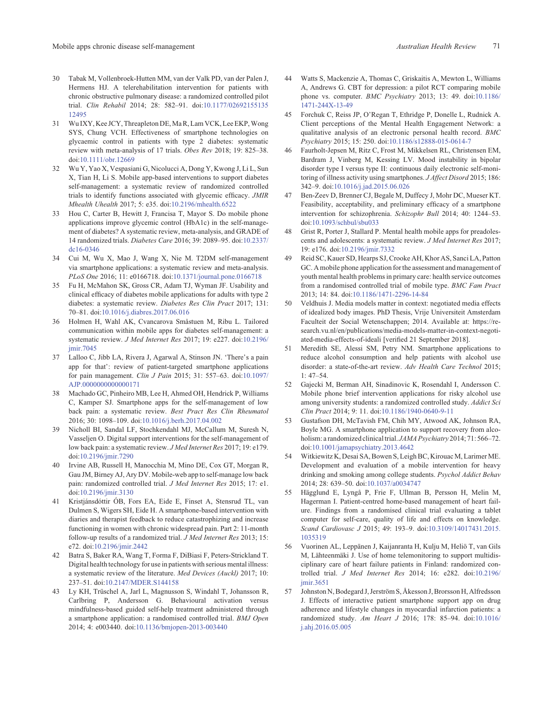- <span id="page-9-0"></span>30 Tabak M, Vollenbroek-Hutten MM, van der Valk PD, van der Palen J, Hermens HJ. A telerehabilitation intervention for patients with chronic obstructive pulmonary disease: a randomized controlled pilot trial. *Clin Rehabil* 2014; 28: 582–91. doi[:10.1177/02692155135](dx.doi.org/10.1177/0269215513512495) [12495](dx.doi.org/10.1177/0269215513512495)
- 31 Wu IXY, Kee JCY, Threapleton DE,Ma R, Lam VCK, Lee EKP,Wong SYS, Chung VCH. Effectiveness of smartphone technologies on glycaemic control in patients with type 2 diabetes: systematic review with meta-analysis of 17 trials. *Obes Rev* 2018; 19: 825–38. doi[:10.1111/obr.12669](dx.doi.org/10.1111/obr.12669)
- 32 Wu Y, Yao X, Vespasiani G, Nicolucci A, Dong Y, Kwong J, Li L, Sun X, Tian H, Li S. Mobile app-based interventions to support diabetes self-management: a systematic review of randomized controlled trials to identify functions associated with glycemic efficacy. *JMIR Mhealth Uhealth* 2017; 5: e35. doi:[10.2196/mhealth.6522](dx.doi.org/10.2196/mhealth.6522)
- 33 Hou C, Carter B, Hewitt J, Francisa T, Mayor S. Do mobile phone applications improve glycemic control (HbA1c) in the self-management of diabetes? A systematic review, meta-analysis, and GRADE of 14 randomized trials. *Diabetes Care* 2016; 39: 2089–95. doi[:10.2337/](dx.doi.org/10.2337/dc16-0346) [dc16-0346](dx.doi.org/10.2337/dc16-0346)
- 34 Cui M, Wu X, Mao J, Wang X, Nie M. T2DM self-management via smartphone applications: a systematic review and meta-analysis. *PLoS One* 2016; 11: e0166718. doi:[10.1371/journal.pone.0166718](dx.doi.org/10.1371/journal.pone.0166718)
- 35 Fu H, McMahon SK, Gross CR, Adam TJ, Wyman JF. Usability and clinical efficacy of diabetes mobile applications for adults with type 2 diabetes: a systematic review. *Diabetes Res Clin Pract* 2017; 131: 70–81. doi:[10.1016/j.diabres.2017.06.016](dx.doi.org/10.1016/j.diabres.2017.06.016)
- 36 Holmen H, Wahl AK, Cvancarova Småstuen M, Ribu L. Tailored communication within mobile apps for diabetes self-management: a systematic review. *J Med Internet Res* 2017; 19: e227. doi[:10.2196/](dx.doi.org/10.2196/jmir.7045) [jmir.7045](dx.doi.org/10.2196/jmir.7045)
- 37 Lalloo C, Jibb LA, Rivera J, Agarwal A, Stinson JN. 'There's a pain app for that': review of patient-targeted smartphone applications for pain management. *Clin J Pain* 2015; 31: 557–63. doi[:10.1097/](dx.doi.org/10.1097/AJP.0000000000000171) [AJP.0000000000000171](dx.doi.org/10.1097/AJP.0000000000000171)
- 38 Machado GC, Pinheiro MB, Lee H, Ahmed OH, Hendrick P, Williams C, Kamper SJ. Smartphone apps for the self-management of low back pain: a systematic review. *Best Pract Res Clin Rheumatol* 2016; 30: 1098–109. doi[:10.1016/j.berh.2017.04.002](dx.doi.org/10.1016/j.berh.2017.04.002)
- 39 Nicholl BI, Sandal LF, Stochkendahl MJ, McCallum M, Suresh N, Vasseljen O. Digital support interventions for the self-management of low back pain: a systematic review. *J Med Internet Res* 2017; 19: e179. doi[:10.2196/jmir.7290](dx.doi.org/10.2196/jmir.7290)
- 40 Irvine AB, Russell H, Manocchia M, Mino DE, Cox GT, Morgan R, Gau JM, Birney AJ, Ary DV. Mobile-web app to self-manage low back pain: randomized controlled trial. *J Med Internet Res* 2015; 17: e1. doi[:10.2196/jmir.3130](dx.doi.org/10.2196/jmir.3130)
- 41 Kristjánsdóttir ÓB, Fors EA, Eide E, Finset A, Stensrud TL, van Dulmen S, Wigers SH, Eide H. A smartphone-based intervention with diaries and therapist feedback to reduce catastrophizing and increase functioning in women with chronic widespread pain. Part 2: 11-month follow-up results of a randomized trial. *J Med Internet Res* 2013; 15: e72. doi[:10.2196/jmir.2442](dx.doi.org/10.2196/jmir.2442)
- 42 Batra S, Baker RA, Wang T, Forma F, DiBiasi F, Peters-Strickland T. Digital health technology for use in patients with serious mental illness: a systematic review of the literature. *Med Devices (Auckl)* 2017; 10: 237–51. doi[:10.2147/MDER.S144158](dx.doi.org/10.2147/MDER.S144158)
- 43 Ly KH, Trüschel A, Jarl L, Magnusson S, Windahl T, Johansson R, Carlbring P, Andersson G. Behavioural activation versus mindfulness-based guided self-help treatment administered through a smartphone application: a randomised controlled trial. *BMJ Open* 2014; 4: e003440. doi:[10.1136/bmjopen-2013-003440](dx.doi.org/10.1136/bmjopen-2013-003440)
- 44 Watts S, Mackenzie A, Thomas C, Griskaitis A, Mewton L, Williams A, Andrews G. CBT for depression: a pilot RCT comparing mobile phone vs. computer. *BMC Psychiatry* 2013; 13: 49. doi[:10.1186/](dx.doi.org/10.1186/1471-244X-13-49) [1471-244X-13-49](dx.doi.org/10.1186/1471-244X-13-49)
- 45 Forchuk C, Reiss JP, O'Regan T, Ethridge P, Donelle L, Rudnick A. Client perceptions of the Mental Health Engagement Network: a qualitative analysis of an electronic personal health record. *BMC Psychiatry* 2015; 15: 250. doi:[10.1186/s12888-015-0614-7](dx.doi.org/10.1186/s12888-015-0614-7)
- 46 Faurholt-Jepsen M, Ritz C, Frost M, Mikkelsen RL, Christensen EM, Bardram J, Vinberg M, Kessing LV. Mood instability in bipolar disorder type I versus type II: continuous daily electronic self-monitoring of illness activity using smartphones. *J Affect Disord* 2015; 186: 342–9. doi:[10.1016/j.jad.2015.06.026](dx.doi.org/10.1016/j.jad.2015.06.026)
- 47 Ben-Zeev D, Brenner CJ, Begale M, Duffecy J, Mohr DC, Mueser KT. Feasibility, acceptability, and preliminary efficacy of a smartphone intervention for schizophrenia. *Schizophr Bull* 2014; 40: 1244–53. doi[:10.1093/schbul/sbu033](dx.doi.org/10.1093/schbul/sbu033)
- 48 Grist R, Porter J, Stallard P. Mental health mobile apps for preadolescents and adolescents: a systematic review. *J Med Internet Res* 2017; 19: e176. doi:[10.2196/jmir.7332](dx.doi.org/10.2196/jmir.7332)
- 49 Reid SC, Kauer SD, Hearps SJ, Crooke AH, Khor AS, Sanci LA, Patton GC. A mobile phone application for the assessment and management of youth mental health problems in primary care: health service outcomes from a randomised controlled trial of mobile type. *BMC Fam Pract* 2013; 14: 84. doi[:10.1186/1471-2296-14-84](dx.doi.org/10.1186/1471-2296-14-84)
- 50 Veldhuis J. Media models matter in context: negotiated media effects of idealized body images. PhD Thesis, Vrije Universiteit Amsterdam Faculteit der Social Wetenschappen; 2014. Available at: [https://re](https://research.vu.nl/en/publications/media-models-matter-in-context-negotiated-media-effects-of-ideali)[search.vu.nl/en/publications/media-models-matter-in-context-negoti](https://research.vu.nl/en/publications/media-models-matter-in-context-negotiated-media-effects-of-ideali)[ated-media-effects-of-ideali](https://research.vu.nl/en/publications/media-models-matter-in-context-negotiated-media-effects-of-ideali) [verified 21 September 2018].
- 51 Meredith SE, Alessi SM, Petry NM. Smartphone applications to reduce alcohol consumption and help patients with alcohol use disorder: a state-of-the-art review. *Adv Health Care Technol* 2015; 1: 47–54.
- 52 Gajecki M, Berman AH, Sinadinovic K, Rosendahl I, Andersson C. Mobile phone brief intervention applications for risky alcohol use among university students: a randomized controlled study. *Addict Sci Clin Pract* 2014; 9: 11. doi[:10.1186/1940-0640-9-11](dx.doi.org/10.1186/1940-0640-9-11)
- 53 Gustafson DH, McTavish FM, Chih MY, Atwood AK, Johnson RA, Boyle MG. A smartphone application to support recovery from alcoholism: a randomized clinicaltrial. *JAMA Psychiatry* 2014; 71: 566–72. doi[:10.1001/jamapsychiatry.2013.4642](dx.doi.org/10.1001/jamapsychiatry.2013.4642)
- 54 Witkiewitz K, Desai SA, Bowen S, Leigh BC, Kirouac M, Larimer ME. Development and evaluation of a mobile intervention for heavy drinking and smoking among college students. *Psychol Addict Behav* 2014; 28: 639–50. doi[:10.1037/a0034747](dx.doi.org/10.1037/a0034747)
- 55 Hägglund E, Lyngå P, Frie F, Ullman B, Persson H, Melin M, Hagerman I. Patient-centred home-based management of heart failure. Findings from a randomised clinical trial evaluating a tablet computer for self-care, quality of life and effects on knowledge. *Scand Cardiovasc J* 2015; 49: 193–9. doi[:10.3109/14017431.2015.](dx.doi.org/10.3109/14017431.2015.1035319) [1035319](dx.doi.org/10.3109/14017431.2015.1035319)
- 56 Vuorinen AL, Leppänen J, Kaijanranta H, Kulju M, Heliö T, van Gils M, Lähteenmäki J. Use of home telemonitoring to support multidisciplinary care of heart failure patients in Finland: randomized controlled trial. *J Med Internet Res* 2014; 16: e282. doi[:10.2196/](dx.doi.org/10.2196/jmir.3651) imir.3651
- 57 Johnston N, Bodegard J, Jerström S, Åkesson J, Brorsson H, Alfredsson J. Effects of interactive patient smartphone support app on drug adherence and lifestyle changes in myocardial infarction patients: a randomized study. *Am Heart J* 2016; 178: 85–94. doi[:10.1016/](dx.doi.org/10.1016/j.ahj.2016.05.005) [j.ahj.2016.05.005](dx.doi.org/10.1016/j.ahj.2016.05.005)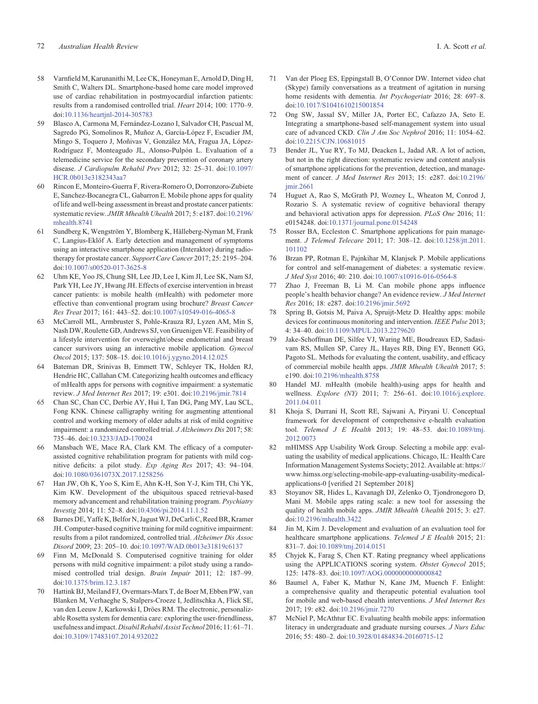- <span id="page-10-0"></span>58 Varnfield M, Karunanithi M, Lee CK, Honeyman E, Arnold D, Ding H, Smith C, Walters DL. Smartphone-based home care model improved use of cardiac rehabilitation in postmyocardial infarction patients: results from a randomised controlled trial. *Heart* 2014; 100: 1770–9. doi[:10.1136/heartjnl-2014-305783](dx.doi.org/10.1136/heartjnl-2014-305783)
- 59 Blasco A, Carmona M, Fernández-Lozano I, Salvador CH, Pascual M, Sagredo PG, Somolinos R, Muñoz A, García-López F, Escudier JM, Mingo S, Toquero J, Moñivas V, González MA, Fragua JA, López-Rodríguez F, Monteagudo JL, Alonso-Pulpón L. Evaluation of a telemedicine service for the secondary prevention of coronary artery disease. *J Cardiopulm Rehabil Prev* 2012; 32: 25–31. doi[:10.1097/](dx.doi.org/10.1097/HCR.0b013e3182343aa7) [HCR.0b013e3182343aa7](dx.doi.org/10.1097/HCR.0b013e3182343aa7)
- 60 Rincon E, Monteiro-Guerra F, Rivera-Romero O, Dorronzoro-Zubiete E, Sanchez-Bocanegra CL, Gabarron E. Mobile phone apps for quality of life and well-being assessment in breast and prostate cancer patients: systematic review. *JMIR Mhealth Uhealth* 2017; 5: e187. doi[:10.2196/](dx.doi.org/10.2196/mhealth.8741) [mhealth.8741](dx.doi.org/10.2196/mhealth.8741)
- 61 Sundberg K, Wengström Y, Blomberg K, Hälleberg-Nyman M, Frank C, Langius-Eklöf A. Early detection and management of symptoms using an interactive smartphone application (Interaktor) during radiotherapy for prostate cancer. *Support Care Cancer* 2017; 25: 2195–204. doi[:10.1007/s00520-017-3625-8](dx.doi.org/10.1007/s00520-017-3625-8)
- 62 Uhm KE, Yoo JS, Chung SH, Lee JD, Lee I, Kim JI, Lee SK, Nam SJ, Park YH, Lee JY, Hwang JH. Effects of exercise intervention in breast cancer patients: is mobile health (mHealth) with pedometer more effective than conventional program using brochure? *Breast Cancer Res Treat* 2017; 161: 443–52. doi:[10.1007/s10549-016-4065-8](dx.doi.org/10.1007/s10549-016-4065-8)
- 63 McCarroll ML, Armbruster S, Pohle-Krauza RJ, Lyzen AM, Min S, Nash DW, Roulette GD, Andrews SJ, von Gruenigen VE. Feasibility of a lifestyle intervention for overweight/obese endometrial and breast cancer survivors using an interactive mobile application. *Gynecol Oncol* 2015; 137: 508–15. doi[:10.1016/j.ygyno.2014.12.025](dx.doi.org/10.1016/j.ygyno.2014.12.025)
- 64 Bateman DR, Srinivas B, Emmett TW, Schleyer TK, Holden RJ, Hendrie HC, Callahan CM. Categorizing health outcomes and efficacy of mHealth apps for persons with cognitive impairment: a systematic review. *J Med Internet Res* 2017; 19: e301. doi[:10.2196/jmir.7814](dx.doi.org/10.2196/jmir.7814)
- 65 Chan SC, Chan CC, Derbie AY, Hui I, Tan DG, Pang MY, Lau SCL, Fong KNK. Chinese calligraphy writing for augmenting attentional control and working memory of older adults at risk of mild cognitive impairment: a randomized controlled trial. *J Alzheimers Dis* 2017; 58: 735–46. doi:[10.3233/JAD-170024](dx.doi.org/10.3233/JAD-170024)
- 66 Mansbach WE, Mace RA, Clark KM. The efficacy of a computerassisted cognitive rehabilitation program for patients with mild cognitive deficits: a pilot study. *Exp Aging Res* 2017; 43: 94–104. doi[:10.1080/0361073X.2017.1258256](dx.doi.org/10.1080/0361073X.2017.1258256)
- 67 Han JW, Oh K, Yoo S, Kim E, Ahn K-H, Son Y-J, Kim TH, Chi YK, Kim KW. Development of the ubiquitous spaced retrieval-based memory advancement and rehabilitation training program. *Psychiatry Investig* 2014; 11: 52–8. doi:[10.4306/pi.2014.11.1.52](dx.doi.org/10.4306/pi.2014.11.1.52)
- 68 Barnes DE, Yaffe K, Belfor N, JagustWJ, DeCarli C, Reed BR, Kramer JH. Computer-based cognitive training for mild cognitive impairment: results from a pilot randomized, controlled trial. *Alzheimer Dis Assoc Disord* 2009; 23: 205–10. doi:[10.1097/WAD.0b013e31819c6137](dx.doi.org/10.1097/WAD.0b013e31819c6137)
- 69 Finn M, McDonald S. Computerised cognitive training for older persons with mild cognitive impairment: a pilot study using a randomised controlled trial design. *Brain Impair* 2011; 12: 187–99. doi[:10.1375/brim.12.3.187](dx.doi.org/10.1375/brim.12.3.187)
- 70 Hattink BJ, Meiland FJ, Overmars-Marx T, de Boer M, Ebben PW, van Blanken M, Verhaeghe S, Stalpers-Croeze I, Jedlitschka A, Flick SE, van den Leeuw J, Karkowski I, Dröes RM. The electronic, personalizable Rosetta system for dementia care: exploring the user-friendliness, usefulness and impact.*Disabil Rehabil Assist Technol* 2016; 11: 61–71. doi[:10.3109/17483107.2014.932022](dx.doi.org/10.3109/17483107.2014.932022)
- 71 Van der Ploeg ES, Eppingstall B, O'Connor DW. Internet video chat (Skype) family conversations as a treatment of agitation in nursing home residents with dementia. *Int Psychogeriatr* 2016; 28: 697–8. doi[:10.1017/S1041610215001854](dx.doi.org/10.1017/S1041610215001854)
- 72 Ong SW, Jassal SV, Miller JA, Porter EC, Cafazzo JA, Seto E. Integrating a smartphone-based self-management system into usual care of advanced CKD. *Clin J Am Soc Nephrol* 2016; 11: 1054–62. doi[:10.2215/CJN.10681015](dx.doi.org/10.2215/CJN.10681015)
- 73 Bender JL, Yue RY, To MJ, Deacken L, Jadad AR. A lot of action, but not in the right direction: systematic review and content analysis of smartphone applications for the prevention, detection, and management of cancer. *J Med Internet Res* 2013; 15: e287. doi[:10.2196/](dx.doi.org/10.2196/jmir.2661) [jmir.2661](dx.doi.org/10.2196/jmir.2661)
- 74 Huguet A, Rao S, McGrath PJ, Wozney L, Wheaton M, Conrod J, Rozario S. A systematic review of cognitive behavioral therapy and behavioral activation apps for depression. *PLoS One* 2016; 11: e0154248. doi[:10.1371/journal.pone.0154248](dx.doi.org/10.1371/journal.pone.0154248)
- Rosser BA, Eccleston C. Smartphone applications for pain management. *J Telemed Telecare* 2011; 17: 308–12. doi:[10.1258/jtt.2011.](dx.doi.org/10.1258/jtt.2011.101102) [101102](dx.doi.org/10.1258/jtt.2011.101102)
- 76 Brzan PP, Rotman E, Pajnkihar M, Klanjsek P. Mobile applications for control and self-management of diabetes: a systematic review. *J Med Syst* 2016; 40: 210. doi:[10.1007/s10916-016-0564-8](dx.doi.org/10.1007/s10916-016-0564-8)
- Zhao J, Freeman B, Li M. Can mobile phone apps influence people's health behavior change? An evidence review. *J Med Internet Res* 2016; 18: e287. doi:[10.2196/jmir.5692](dx.doi.org/10.2196/jmir.5692)
- 78 Spring B, Gotsis M, Paiva A, Spruijt-Metz D. Healthy apps: mobile devices for continuous monitoring and intervention. *IEEE Pulse* 2013; 4: 34–40. doi[:10.1109/MPUL.2013.2279620](dx.doi.org/10.1109/MPUL.2013.2279620)
- 79 Jake-Schoffman DE, Silfee VJ, Waring ME, Boudreaux ED, Sadasivam RS, Mullen SP, Carey JL, Hayes RB, Ding EY, Bennett GG, Pagoto SL. Methods for evaluating the content, usability, and efficacy of commercial mobile health apps. *JMIR Mhealth Uhealth* 2017; 5: e190. doi[:10.2196/mhealth.8758](dx.doi.org/10.2196/mhealth.8758)
- 80 Handel MJ. mHealth (mobile health)-using apps for health and wellness. *Explore (NY)* 2011; 7: 256–61. doi[:10.1016/j.explore.](dx.doi.org/10.1016/j.explore.2011.04.011) [2011.04.011](dx.doi.org/10.1016/j.explore.2011.04.011)
- 81 Khoja S, Durrani H, Scott RE, Sajwani A, Piryani U. Conceptual framework for development of comprehensive e-health evaluation tool. *Telemed J E Health* 2013; 19: 48–53. doi[:10.1089/tmj.](dx.doi.org/10.1089/tmj.2012.0073) [2012.0073](dx.doi.org/10.1089/tmj.2012.0073)
- mHIMSS App Usability Work Group. Selecting a mobile app: evaluating the usability of medical applications. Chicago, IL: Health Care Information Management Systems Society; 2012. Available at: [https://](https://www.himss.org/selecting-mobile-app-evaluating-usability-medical-applications-0) [www.himss.org/selecting-mobile-app-evaluating-usability-medical](https://www.himss.org/selecting-mobile-app-evaluating-usability-medical-applications-0)[applications-0](https://www.himss.org/selecting-mobile-app-evaluating-usability-medical-applications-0) [verified 21 September 2018]
- Stoyanov SR, Hides L, Kavanagh DJ, Zelenko O, Tjondronegoro D, Mani M. Mobile apps rating scale: a new tool for assessing the quality of health mobile apps. *JMIR Mhealth Uhealth* 2015; 3: e27. doi[:10.2196/mhealth.3422](dx.doi.org/10.2196/mhealth.3422)
- 84 Jin M, Kim J. Development and evaluation of an evaluation tool for healthcare smartphone applications. *Telemed J E Health* 2015; 21: 831–7. doi:[10.1089/tmj.2014.0151](dx.doi.org/10.1089/tmj.2014.0151)
- 85 Chyjek K, Farag S, Chen KT. Rating pregnancy wheel applications using the APPLICATIONS scoring system. *Obstet Gynecol* 2015; 125: 1478–83. doi[:10.1097/AOG.0000000000000842](dx.doi.org/10.1097/AOG.0000000000000842)
- 86 Baumel A, Faber K, Mathur N, Kane JM, Muench F. Enlight: a comprehensive quality and therapeutic potential evaluation tool for mobile and web-based ehealth interventions. *J Med Internet Res* 2017; 19: e82. doi[:10.2196/jmir.7270](dx.doi.org/10.2196/jmir.7270)
- 87 McNiel P, McAthtur EC. Evaluating health mobile apps: information literacy in undergraduate and graduate nursing courses. *J Nurs Educ* 2016; 55: 480–2. doi[:10.3928/01484834-20160715-12](dx.doi.org/10.3928/01484834-20160715-12)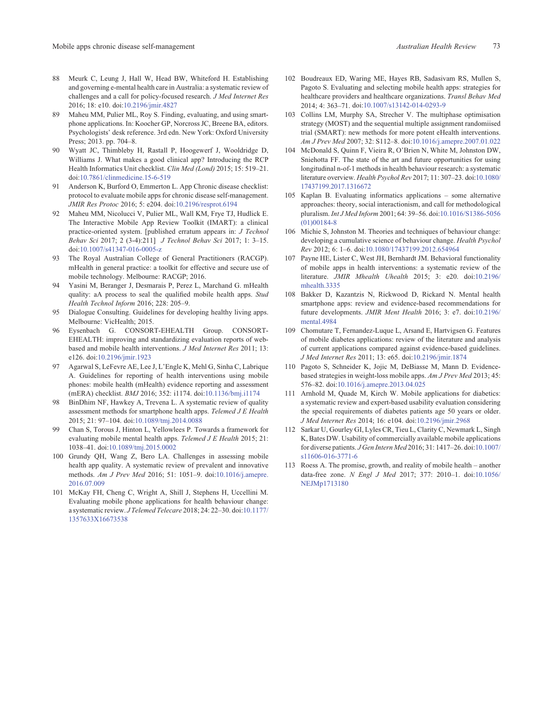- <span id="page-11-0"></span>88 Meurk C, Leung J, Hall W, Head BW, Whiteford H. Establishing and governing e-mental health care in Australia: a systematic review of challenges and a call for policy-focused research. *J Med Internet Res* 2016; 18: e10. doi:[10.2196/jmir.4827](dx.doi.org/10.2196/jmir.4827)
- 89 Maheu MM, Pulier ML, Roy S. Finding, evaluating, and using smartphone applications. In: Koocher GP, Norcross JC, Breene BA, editors. Psychologists' desk reference. 3rd edn. New York: Oxford University Press; 2013. pp. 704–8.
- 90 Wyatt JC, Thimbleby H, Rastall P, Hoogewerf J, Wooldridge D, Williams J. What makes a good clinical app? Introducing the RCP Health Informatics Unit checklist. *Clin Med (Lond)* 2015; 15: 519–21. doi[:10.7861/clinmedicine.15-6-519](dx.doi.org/10.7861/clinmedicine.15-6-519)
- 91 Anderson K, Burford O, Emmerton L. App Chronic disease checklist: protocol to evaluate mobile apps for chronic disease self-management. *JMIR Res Protoc* 2016; 5: e204. doi:[10.2196/resprot.6194](dx.doi.org/10.2196/resprot.6194)
- 92 Maheu MM, Nicolucci V, Pulier ML, Wall KM, Frye TJ, Hudlick E. The Interactive Mobile App Review Toolkit (IMART): a clinical practice-oriented system. [published erratum appears in: *J Technol Behav Sci* 2017; 2 (3-4):211] *J Technol Behav Sci* 2017; 1: 3–15. doi[:10.1007/s41347-016-0005-z](dx.doi.org/10.1007/s41347-016-0005-z)
- 93 The Royal Australian College of General Practitioners (RACGP). mHealth in general practice: a toolkit for effective and secure use of mobile technology. Melbourne: RACGP; 2016.
- 94 Yasini M, Beranger J, Desmarais P, Perez L, Marchand G. mHealth quality: aA process to seal the qualified mobile health apps. *Stud Health Technol Inform* 2016; 228: 205–9.
- 95 Dialogue Consulting. Guidelines for developing healthy living apps. Melbourne: VicHealth; 2015.
- 96 Eysenbach G. CONSORT-EHEALTH Group. CONSORT-EHEALTH: improving and standardizing evaluation reports of webbased and mobile health interventions. *J Med Internet Res* 2011; 13: e126. doi[:10.2196/jmir.1923](dx.doi.org/10.2196/jmir.1923)
- 97 Agarwal S, LeFevre AE, Lee J, L'Engle K, Mehl G, Sinha C, Labrique A. Guidelines for reporting of health interventions using mobile phones: mobile health (mHealth) evidence reporting and assessment (mERA) checklist. *BMJ* 2016; 352: i1174. doi[:10.1136/bmj.i1174](dx.doi.org/10.1136/bmj.i1174)
- 98 BinDhim NF, Hawkey A, Trevena L. A systematic review of quality assessment methods for smartphone health apps. *Telemed J E Health* 2015; 21: 97–104. doi[:10.1089/tmj.2014.0088](dx.doi.org/10.1089/tmj.2014.0088)
- Chan S, Torous J, Hinton L, Yellowlees P. Towards a framework for evaluating mobile mental health apps. *Telemed J E Health* 2015; 21: 1038–41. doi[:10.1089/tmj.2015.0002](dx.doi.org/10.1089/tmj.2015.0002)
- 100 Grundy QH, Wang Z, Bero LA. Challenges in assessing mobile health app quality. A systematic review of prevalent and innovative methods. *Am J Prev Med* 2016; 51: 1051–9. doi[:10.1016/j.amepre.](dx.doi.org/10.1016/j.amepre.2016.07.009) [2016.07.009](dx.doi.org/10.1016/j.amepre.2016.07.009)
- 101 McKay FH, Cheng C, Wright A, Shill J, Stephens H, Uccellini M. Evaluating mobile phone applications for health behaviour change: a systematic review. *J Telemed Telecare* 2018; 24: 22–30. doi[:10.1177/](dx.doi.org/10.1177/1357633X16673538) [1357633X16673538](dx.doi.org/10.1177/1357633X16673538)
- 102 Boudreaux ED, Waring ME, Hayes RB, Sadasivam RS, Mullen S, Pagoto S. Evaluating and selecting mobile health apps: strategies for healthcare providers and healthcare organizations. *Transl Behav Med* 2014; 4: 363–71. doi[:10.1007/s13142-014-0293-9](dx.doi.org/10.1007/s13142-014-0293-9)
- 103 Collins LM, Murphy SA, Strecher V. The multiphase optimisation strategy (MOST) and the sequential multiple assignment randomiised trial (SMART): new methods for more potent eHealth interventions. *Am J Prev Med* 2007; 32: S112–8. doi:[10.1016/j.amepre.2007.01.022](dx.doi.org/10.1016/j.amepre.2007.01.022)
- 104 McDonald S, Quinn F, Vieira R, O'Brien N, White M, Johnston DW, Sniehotta FF. The state of the art and future opportunities for using longitudinal n-of-1 methods in health behaviour research: a systematic literature overview. *Health Psychol Rev* 2017; 11: 307–23. doi:[10.1080/](dx.doi.org/10.1080/17437199.2017.1316672) [17437199.2017.1316672](dx.doi.org/10.1080/17437199.2017.1316672)
- 105 Kaplan B. Evaluating informatics applications some alternative approaches: theory, social interactionism, and call for methodological pluralism. *Int J Med Inform* 2001; 64: 39–56. doi[:10.1016/S1386-5056](dx.doi.org/10.1016/S1386-5056(01)00184-8) [\(01\)00184-8](dx.doi.org/10.1016/S1386-5056(01)00184-8)
- 106 Michie S, Johnston M. Theories and techniques of behaviour change: developing a cumulative science of behaviour change. *Health Psychol Rev* 2012; 6: 1–6. doi:[10.1080/17437199.2012.654964](dx.doi.org/10.1080/17437199.2012.654964)
- 107 Payne HE, Lister C, West JH, Bernhardt JM. Behavioral functionality of mobile apps in health interventions: a systematic review of the literature. *JMIR Mhealth Uhealth* 2015; 3: e20. doi[:10.2196/](dx.doi.org/10.2196/mhealth.3335) [mhealth.3335](dx.doi.org/10.2196/mhealth.3335)
- 108 Bakker D, Kazantzis N, Rickwood D, Rickard N. Mental health smartphone apps: review and evidence-based recommendations for future developments. *JMIR Ment Health* 2016; 3: e7. doi[:10.2196/](dx.doi.org/10.2196/mental.4984) [mental.4984](dx.doi.org/10.2196/mental.4984)
- 109 Chomutare T, Fernandez-Luque L, Arsand E, Hartvigsen G. Features of mobile diabetes applications: review of the literature and analysis of current applications compared against evidence-based guidelines. *J Med Internet Res* 2011; 13: e65. doi[:10.2196/jmir.1874](dx.doi.org/10.2196/jmir.1874)
- 110 Pagoto S, Schneider K, Jojic M, DeBiasse M, Mann D. Evidencebased strategies in weight-loss mobile apps. *Am J Prev Med* 2013; 45: 576–82. doi:[10.1016/j.amepre.2013.04.025](dx.doi.org/10.1016/j.amepre.2013.04.025)
- 111 Arnhold M, Quade M, Kirch W. Mobile applications for diabetics: a systematic review and expert-based usability evaluation considering the special requirements of diabetes patients age 50 years or older. *J Med Internet Res* 2014; 16: e104. doi[:10.2196/jmir.2968](dx.doi.org/10.2196/jmir.2968)
- 112 Sarkar U, Gourley GI, Lyles CR, Tieu L, Clarity C, Newmark L, Singh K, Bates DW. Usability of commercially available mobile applications for diverse patients. *J Gen Intern Med* 2016; 31: 1417–26. doi[:10.1007/](dx.doi.org/10.1007/s11606-016-3771-6) [s11606-016-3771-6](dx.doi.org/10.1007/s11606-016-3771-6)
- 113 Roess A. The promise, growth, and reality of mobile health another data-free zone. *N Engl J Med* 2017; 377: 2010–1. doi[:10.1056/](dx.doi.org/10.1056/NEJMp1713180) [NEJMp1713180](dx.doi.org/10.1056/NEJMp1713180)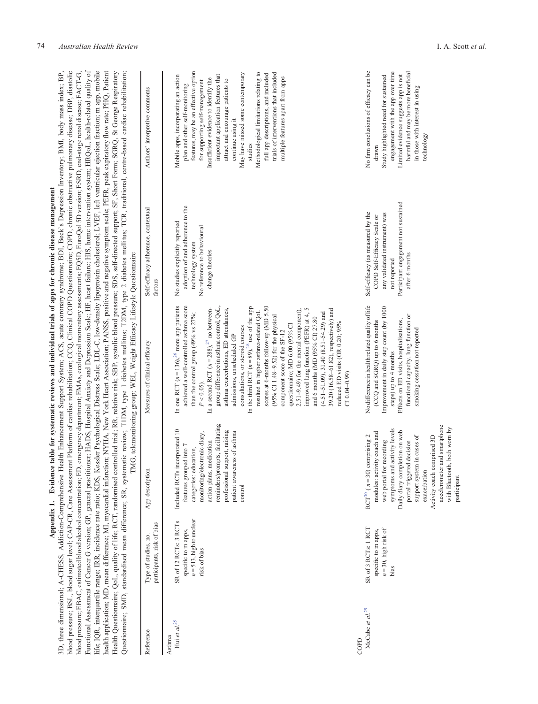<span id="page-12-0"></span>

|                                                                                                                                                                                                                                                                                                                                                                                                                                                                                                                                                                                                                                                                                                                                                                                                                                                                                                                                                                                                                                                                                                                                                                                                                                                                                                                                                                                                                                                                                                                                                                                                                                                                                                                                                                       | Authors' interpretive comments                     | features, may be an effective option<br>trials of interventions that included<br>Methodological limitations relating to<br>May have missed some contemporary<br>important application features that<br>full app descriptions, and included<br>Mobile apps, incorporating an action<br>multiple features apart from apps<br>Insufficient evidence to identify the<br>attract and encourage patients to<br>for supporting self-management<br>plan and other self-monitoring<br>continue using it<br>studies                                                                                                                                                                                                                                                                                                                                                                                                    | engagement with the app over time<br>harmful and may be more beneficial<br>No firm conclusions of efficacy can be<br>Limited evidence suggests app is not<br>Study highlighted need for sustained<br>in those with interest in using<br>technology<br>drawn                                                                                                    |
|-----------------------------------------------------------------------------------------------------------------------------------------------------------------------------------------------------------------------------------------------------------------------------------------------------------------------------------------------------------------------------------------------------------------------------------------------------------------------------------------------------------------------------------------------------------------------------------------------------------------------------------------------------------------------------------------------------------------------------------------------------------------------------------------------------------------------------------------------------------------------------------------------------------------------------------------------------------------------------------------------------------------------------------------------------------------------------------------------------------------------------------------------------------------------------------------------------------------------------------------------------------------------------------------------------------------------------------------------------------------------------------------------------------------------------------------------------------------------------------------------------------------------------------------------------------------------------------------------------------------------------------------------------------------------------------------------------------------------------------------------------------------------|----------------------------------------------------|--------------------------------------------------------------------------------------------------------------------------------------------------------------------------------------------------------------------------------------------------------------------------------------------------------------------------------------------------------------------------------------------------------------------------------------------------------------------------------------------------------------------------------------------------------------------------------------------------------------------------------------------------------------------------------------------------------------------------------------------------------------------------------------------------------------------------------------------------------------------------------------------------------------|----------------------------------------------------------------------------------------------------------------------------------------------------------------------------------------------------------------------------------------------------------------------------------------------------------------------------------------------------------------|
|                                                                                                                                                                                                                                                                                                                                                                                                                                                                                                                                                                                                                                                                                                                                                                                                                                                                                                                                                                                                                                                                                                                                                                                                                                                                                                                                                                                                                                                                                                                                                                                                                                                                                                                                                                       | Self-efficacy adherence, contextual<br>factors     | adoption of and adherence to the<br>No studies explicitly reported<br>No reference to behavioural<br>technology system<br>change theories                                                                                                                                                                                                                                                                                                                                                                                                                                                                                                                                                                                                                                                                                                                                                                    | Participant engagement not sustained<br>Self-efficacy (as measured by the<br>any validated instrument) was<br>COPD Self-Efficacy Scale or<br>after 6 months<br>not reported                                                                                                                                                                                    |
| Functional Assessment of Cancer G version; GP, general practitioner; HADS, Hospital Anxiety and Depression Scale; HF, heart failure; HIS, home intervention system; HRQoL, health-related quality of<br>life; IQR, interquartile range; IRR, incidence rate ratio; KDS, Kessler Psychological Distress Scale; LDL-C, low-density lipoprotein cholesterol; LVEF, left ventricular ejection fraction; m app, mobile<br>Health Enhancement Support System; ACS, acute coronary syndrome; BDI, Beck's Depression Inventory; BMI, body mass index; BP,<br>blood pressure; BSL, blood sugar level; CAP-CR, Care Assessment Platform of cardiac rehabilitation; CCQ, Clinical COPD Questiomaire; COPD, chronic obstructive pulmonary disease; DBP, diastolic<br>health application; MD, mean difference; MJ, myocardial infarction; NYHA, New York Heart Association; PANSS, positive and negative symptom scale; PEFR, peak expiratory flow rate; PHQ, Patient<br>blood pressure; EBAC, estimated blood alcohol concentration; ED, emergency department; EMAs, ecological momentary assessments; EQ5D, EuroQol 5D version; ESRD, end-stage renal disease; FACT-G,<br>Questionnaire; SMD, standardised mean difference; SR, systematic review; T1DM, type 1 diabetes mellitus; T2DM, type 2 diabetes mellitus; TCR, traditional, centre-based cardiac rehabilitation;<br>Health Questionnaire; QoL, quality of life; RCT, randomised controlled trial; RR, relative risk; SBP, systolic blood pressure; SDS, self-directed support; SF, Short Form; SGRQ, St George Respiratory<br>Appendix 1. Evidence table for systematic reviews and individual trials of apps for chronic disease management<br>TMG, telemonitoring group; WEL, Weight Efficacy Lifestyle Questionnaire | Measures of clinical efficacy                      | achieved a well-controlled asthma score<br>In one RCT ( $n = 136$ ), <sup>26</sup> more app patients<br>scores at 6-months follow-up (MD 5.50<br>In the third RCT ( $n = 89$ ), <sup>28</sup> use of the app<br>group difference in asthma control, QoL,<br>In a second RCT $(n=288)$ , <sup>27</sup> no between-<br>39.20 (16.58-61.82), respectively) and<br>asthma exacerbations, ED attendances,<br>$2.51-9.49$ ) for the mental component),<br>improved lung function (PEFR) at 4, 5<br>resulted in higher asthma-related QoL<br>$(4.51 - 51.09)$ , 31.40 (8.51-54.29) and<br>than the control group (49% vs 27%;<br>(95% CI 1.48-9.52) for the physical<br>and 6 months (MD (95% CI) 27.80<br>reduced ED visits (OR 0.20; 95%<br>questionnaire; MD 6.00 (95% CI<br>consultations, or steroid courses<br>component score of the SF-12<br>admissions, unscheduled GP<br>$C10.04 - 0.99$<br>$P < 0.05$ ). | No difference in health related quality of life<br>Improvement in daily step count (by 1000<br>functional capacity, lung function or<br>Effects on ED visits, hospitalisations,<br>(CCQ and SGRQ) up to 6 months<br>smoking cessation not reported<br>steps) up to 4 months                                                                                    |
|                                                                                                                                                                                                                                                                                                                                                                                                                                                                                                                                                                                                                                                                                                                                                                                                                                                                                                                                                                                                                                                                                                                                                                                                                                                                                                                                                                                                                                                                                                                                                                                                                                                                                                                                                                       | App description                                    | reminders/prompts, facilitating<br>incorporated 10<br>support, raising<br>patient awareness of asthma<br>monitoring/electronic diary,<br>action plans, medication<br>features grouped into 7<br>categories: education,<br>Included RCTs<br>professional<br>control                                                                                                                                                                                                                                                                                                                                                                                                                                                                                                                                                                                                                                           | accelerometer and smartphone<br>with Bluetooth, both worn by<br>symptoms and activity levels<br>Daily diary completion on web<br>modules: activity coach and<br>support system in cases of<br>RCT <sup>30</sup> ( $n=30$ ) comprising 2<br>Activity coach comprised 3D<br>web portal for recording<br>portal triggered decision<br>exacerbation<br>participant |
| 3D, three dimensional; A-CHESS, Addiction-Comprehensive                                                                                                                                                                                                                                                                                                                                                                                                                                                                                                                                                                                                                                                                                                                                                                                                                                                                                                                                                                                                                                                                                                                                                                                                                                                                                                                                                                                                                                                                                                                                                                                                                                                                                                               | participants, risk of bias<br>Type of studies, no. | $n = 513$ , high to unclear<br>SR of 12 RCTs: 3 RCTs<br>specific to m apps,<br>risk of bias                                                                                                                                                                                                                                                                                                                                                                                                                                                                                                                                                                                                                                                                                                                                                                                                                  | SR of 3 RCTs: 1 RCT<br>$n=30$ , high risk of<br>specific to m apps,<br>bias                                                                                                                                                                                                                                                                                    |
|                                                                                                                                                                                                                                                                                                                                                                                                                                                                                                                                                                                                                                                                                                                                                                                                                                                                                                                                                                                                                                                                                                                                                                                                                                                                                                                                                                                                                                                                                                                                                                                                                                                                                                                                                                       | Reference                                          | Hui et al. $^{25}$<br>Asthma                                                                                                                                                                                                                                                                                                                                                                                                                                                                                                                                                                                                                                                                                                                                                                                                                                                                                 | McCabe et $al.^{29}$<br>COPD                                                                                                                                                                                                                                                                                                                                   |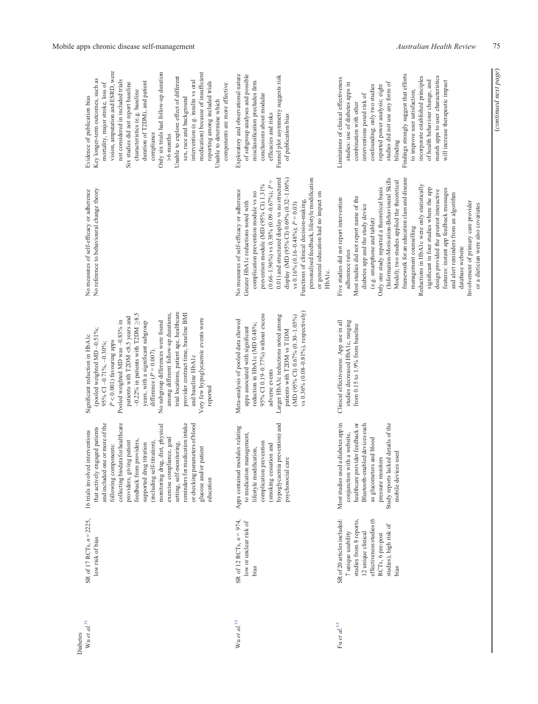(continued next page) (*continued next page*)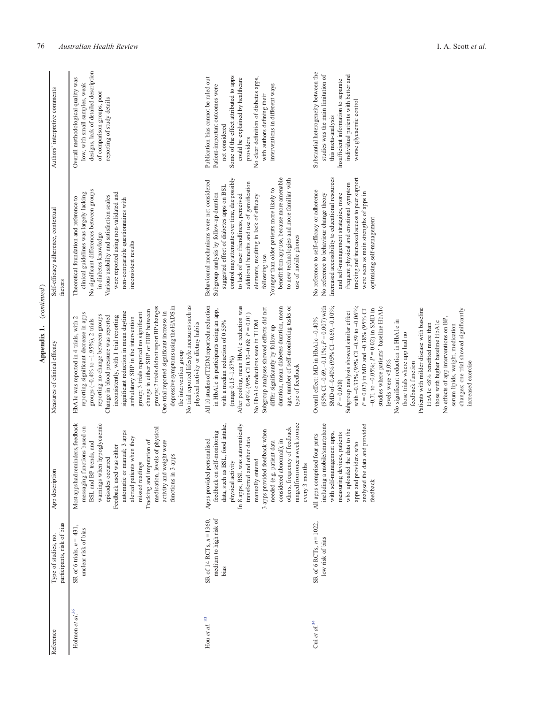|                        |                                                               |                                                                                                                                                                                                                                                                                                                                                                                           | (continued)<br>Appendix 1.                                                                                                                                                                                                                                                                                                                                                                                                                                                                                                                                                                                                                                                                                                                                             |                                                                                                                                                                                                                                                                                                                                                                                                                                                                                                             |                                                                                                                                                                                                                                                                                                |
|------------------------|---------------------------------------------------------------|-------------------------------------------------------------------------------------------------------------------------------------------------------------------------------------------------------------------------------------------------------------------------------------------------------------------------------------------------------------------------------------------|------------------------------------------------------------------------------------------------------------------------------------------------------------------------------------------------------------------------------------------------------------------------------------------------------------------------------------------------------------------------------------------------------------------------------------------------------------------------------------------------------------------------------------------------------------------------------------------------------------------------------------------------------------------------------------------------------------------------------------------------------------------------|-------------------------------------------------------------------------------------------------------------------------------------------------------------------------------------------------------------------------------------------------------------------------------------------------------------------------------------------------------------------------------------------------------------------------------------------------------------------------------------------------------------|------------------------------------------------------------------------------------------------------------------------------------------------------------------------------------------------------------------------------------------------------------------------------------------------|
| Reference              | participants, risk of bias<br>Type of studies, no.            | App description                                                                                                                                                                                                                                                                                                                                                                           | Measures of clinical efficacy                                                                                                                                                                                                                                                                                                                                                                                                                                                                                                                                                                                                                                                                                                                                          | Self-efficacy adherence, contextual<br>factors                                                                                                                                                                                                                                                                                                                                                                                                                                                              | Authors' interpretive comments                                                                                                                                                                                                                                                                 |
| Holmen et al. $36$     | SR of 6 trials, $n = 431$ ,<br>unclear risk of bias           | Most apps had reminders, feedback<br>warnings when hypoglycaemic<br>functions based on<br>levels of physical<br>automatic or manual; 3 apps<br>alerted patients when they<br>Tracking and imputation of<br>weight were<br>BSL and BP trends, and<br>Feedback used was either<br>3 apps<br>episodes occurred<br>missed readings<br>medication<br>activity and<br>functions in<br>messaging | groups; 2 trials did not report BP changes<br>No trial reported lifestyle measures such as<br>depressive symptoms using the HADS in<br>change in either SBP or DBP between<br>significant reduction in mean daytime<br>group; 3 trials reported no significant<br>One trial reported significant increase in<br>reporting significant decrease in apps<br>reporting no change between groups<br>Change in blood pressure was reported<br>inconsistently, with 1 trial reporting<br>HbA1c was reported in 4 trials, with 2<br>ambulatory SBP in the intervention<br>groups (-0.4% to -1.95%), 2 trials<br>physical activity or dietary habits<br>the intervention group                                                                                                 | No significant differences between groups<br>were reported using non-validated and<br>clinical guidelines was largely lacking<br>Various usability and satisfaction scales<br>Theoretical foundation and reference to<br>non-comparable questionnaires with<br>in diabetes knowledge<br>inconsistent results                                                                                                                                                                                                | designs, lack of detailed description<br>Overall methodological quality was<br>low, with small samples, weak<br>of comparison groups, poor<br>reporting of study details                                                                                                                       |
| Hou et al. $^{\rm 33}$ | medium to high risk of<br>SR of 14 RCTs, $n = 1360$ ,<br>bias | ranged from once a week to once<br>data, such as BSL, food intake,<br>In 8 apps, BSL was automatically<br>others, frequency of feedback<br>3 apps provided feedback when<br>feedback on self-monitoring<br>transferred and other data<br>Apps provided personalised<br>considered abnormal); in<br>needed (e.g. patient data<br>manually entered<br>physical activity<br>every 3 months   | All 10 studies of T2DM reported a reduction<br>After pooling, mean HbA1c reduction was<br>age, number of self-monitoring tasks or<br>duration, mean diabetes duration, mean<br>Subgroup analyses showed effects did not<br>in HbA1c in participants using an app,<br>$0.49\%$ (95% Cl 0.30-0.68; $P = 0.01$ )<br>No HbA1c reductions seen in T1DM<br>with a median reduction of 0.55%<br>differ significantly by follow-up<br>$(range 0.15 - 1.87%$<br>type of feedback                                                                                                                                                                                                                                                                                                | benefit from app use, because more amenable<br>control may attenuate over time, due possibly<br>to new technologies and more familiar with<br>Behavioural mechanisms were not considered<br>additional benefits and use of gamification<br>suggested effect of diabetes apps on BSL<br>Younger than older patients more likely to<br>Subgroup analysis by follow-up duration<br>elements, resulting in lack of efficacy<br>to lack of user friendliness, perceived<br>use of mobile phones<br>following use | Some of the effect attributed to apps<br>Publication bias cannot be ruled out<br>could be explained by healthcare<br>No clear definition of diabetes apps,<br>Patient-important outcomes were<br>interventions in different ways<br>with authors defining their<br>not considered<br>providers |
| Cui et al. $^{34}$     | SR of 6 RCTs, $n = 1022$ ,<br>low risk of bias                | including a mobile/smartphone<br>analysed the data and provided<br>who uploaded the data to the<br>with self-management apps,<br>measuring devices, patients<br>All apps comprised four parts<br>apps and providers who<br>feedback                                                                                                                                                       | $(95\% \text{ CI} - 0.69, -0.11\%; P = 0.007)$ with<br>SMD of -0.40% (95% CI -0.69, -0.10%;<br>with $-0.33\%$ (95% CI $-0.59$ to $-0.06\%$ ;<br>studies where patients' baseline HbA1c<br>Patients with milder disease with baseline<br>$P = 0.02$ ) in MD and $-0.38%$ (95% CI<br>$-0.71$ to $-0.05\%$ ; $P = 0.02$ ) in SMD in<br>changes; one trial showed significantly<br>Subgroup analysis showed similar effect<br>Overall effect: MD in HbA1c-0.40%<br>No effects of app interventions on BP.<br>No significant reduction in HbA1c in<br>those with higher baseline HbA1c<br>HbA1c <8% benefited more than<br>serum lipids, weight, medication<br>those trials where app had no<br>levels were <8.0%<br>increased exercise<br>feedback function<br>$P = 0.008$ | Increased accessibility to educational resources<br>tracking and increased access to peer support<br>frequent physical and emotional symptom<br>No reference to self-efficacy or adherence<br>were seen as main strengths of apps in<br>No reference to behaviour change theory<br>and self-management strategies, more<br>optimising self-management                                                                                                                                                       | Substantial heterogeneity between the<br>studies was the main limitation of<br>individual patients with better and<br>Insufficient information to separate<br>worse glycaemic control<br>this meta-analysis                                                                                    |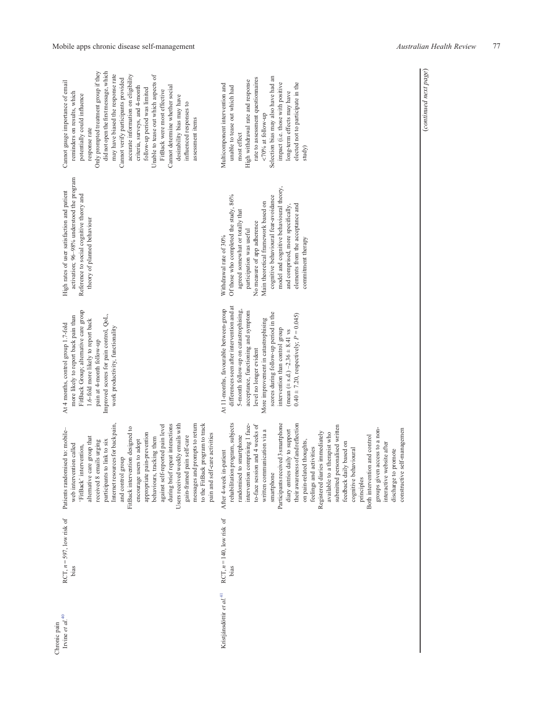| Kristjánsdóttir et al. <sup>41</sup><br>Irvine et al. <sup>40</sup><br>Chronic pain | RCT, $n = 597$ , low risk of<br>RCT, $n = 140$ , low risk of<br>bias | to the FitBack program to track<br>rehabilitation program, subjects<br>against self-reported pain level<br>repeat interactions<br>Users received weekly emails with<br>messages and prompts to return<br>comprising 1 face-<br>Internet resources for back pain,<br>on and 4 weeks of<br>FitBack intervention designed to<br>Patients randomised to: mobile-<br>appropriate pain-prevention<br>pain and self-care activities<br>randomised to smartphone<br>pain self-care<br>alternative care group that<br>tracking them<br>participants to link to six<br>received 8 emails urging<br>encourage users to adopt<br>web intervention called<br>'FitBack' intervention,<br>After 4-week in-patient<br>group<br>during brief<br>gain-framed<br>intervention<br>to-face sessi<br>and control<br>behaviours, | differences seen after intervention and at<br>At 11-months, favourable between-group<br>5-month follow-up on catastrophising,<br>FitBack Group; alternative care group<br>acceptance, functioning and symptom<br>Improved scores for pain control, QoL,<br>more likely to report back pain than<br>1.6-fold more likely to report back<br>At 4 months, control group 1.7-fold<br>work productivity, functionality<br>pain at 4-month follow-up<br>level no longer evident | activation; 96-98% understood the program<br>High rates of user satisfaction and patient<br>Reference to social cognitive theory and<br>Of those who completed the study, 86%<br>agreed somewhat or totally that<br>theory of planned behaviour<br>No measure of app adherence<br>participation was useful<br>Withdrawal rate of 30% | Only prompted treatment group if they<br>did not open the first message, which<br>may have biased the response rate<br>accurate information on eligibility<br>Unable to tease out which aspects of<br>Cannot verify participants provided<br>rate to assessment questionnaires<br>High withdrawal rate and response<br>Cannot gauge importance of email<br>Multicomponent intervention and<br>criteria, surveys, and 4-month<br>Cannot determine whether social<br>unable to tease out which had<br>follow-up period was limited<br>FitBack were most effective<br>reminders on results, which<br>potentially could influence<br>desirability bias may have<br>influenced responses to<br>assessment items<br>response rate<br>most effect |
|-------------------------------------------------------------------------------------|----------------------------------------------------------------------|-----------------------------------------------------------------------------------------------------------------------------------------------------------------------------------------------------------------------------------------------------------------------------------------------------------------------------------------------------------------------------------------------------------------------------------------------------------------------------------------------------------------------------------------------------------------------------------------------------------------------------------------------------------------------------------------------------------------------------------------------------------------------------------------------------------|---------------------------------------------------------------------------------------------------------------------------------------------------------------------------------------------------------------------------------------------------------------------------------------------------------------------------------------------------------------------------------------------------------------------------------------------------------------------------|--------------------------------------------------------------------------------------------------------------------------------------------------------------------------------------------------------------------------------------------------------------------------------------------------------------------------------------|--------------------------------------------------------------------------------------------------------------------------------------------------------------------------------------------------------------------------------------------------------------------------------------------------------------------------------------------------------------------------------------------------------------------------------------------------------------------------------------------------------------------------------------------------------------------------------------------------------------------------------------------------------------------------------------------------------------------------------------------|
|                                                                                     |                                                                      | Participants received 3 smartphone<br>their awareness of and reflection<br>submitted personalised written<br>groups given access to a non-<br>self-managemen<br>written communication via a<br>diary entries daily to support<br>Registered diaries immediately<br>available to a therapist who<br>Both intervention and control<br>on pain-related thoughts,<br>interactive website after<br>feedback daily based on<br>feelings and activities<br>cognitive behavioural<br>promote<br>smartphone<br>discharge to<br>constructive<br>principles                                                                                                                                                                                                                                                          | scores during follow-up period in the<br>$0.40 \pm 7.20$ , respectively; $P = 0.045$ )<br>More improvement in catastrophising<br>intervention than control group<br>(mean ( $\pm$ s.d.) $-2.36 \pm 8.41$ vs                                                                                                                                                                                                                                                               | model and cognitive behavioural theory,<br>cognitive behavioural fear-avoidance<br>Main theoretical framework based on<br>elements from the acceptance and<br>and comprised, more specifically<br>commitment therapy                                                                                                                 | Selection bias may also have had an<br>elected not to participate in the<br>impact (i.e. those with positive<br>long-term effects may have<br>$<70\%$ at follow-up<br>study)                                                                                                                                                                                                                                                                                                                                                                                                                                                                                                                                                               |

(continued next page) (*continued next page*)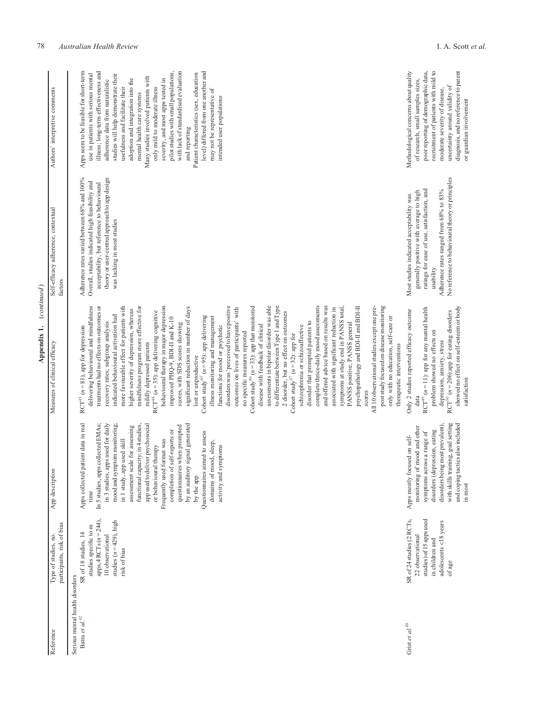| Reference                                               | participants, risk of bias<br>Type of studies, no.                                                                                          | App description                                                                                                                                                                                                                                                                                                                                                                                                                                                                                                                                                  | Measures of clinical efficacy                                                                                                                                                                                                                                                                                                                                                                                                                                                                                                                                                                                                                                                                                                                                                                                                                                                                                                                                                                                                                                                                                                                                                                                                                                                                                                                                                                                                                                                                                                                                                                                                                                                                  | Self-efficacy adherence, contextual<br>factors                                                                                                                                                                                               | Authors' interpretive comments                                                                                                                                                                                                                                                                                                                                                                                                                                                                                                                                                                                                                                         |
|---------------------------------------------------------|---------------------------------------------------------------------------------------------------------------------------------------------|------------------------------------------------------------------------------------------------------------------------------------------------------------------------------------------------------------------------------------------------------------------------------------------------------------------------------------------------------------------------------------------------------------------------------------------------------------------------------------------------------------------------------------------------------------------|------------------------------------------------------------------------------------------------------------------------------------------------------------------------------------------------------------------------------------------------------------------------------------------------------------------------------------------------------------------------------------------------------------------------------------------------------------------------------------------------------------------------------------------------------------------------------------------------------------------------------------------------------------------------------------------------------------------------------------------------------------------------------------------------------------------------------------------------------------------------------------------------------------------------------------------------------------------------------------------------------------------------------------------------------------------------------------------------------------------------------------------------------------------------------------------------------------------------------------------------------------------------------------------------------------------------------------------------------------------------------------------------------------------------------------------------------------------------------------------------------------------------------------------------------------------------------------------------------------------------------------------------------------------------------------------------|----------------------------------------------------------------------------------------------------------------------------------------------------------------------------------------------------------------------------------------------|------------------------------------------------------------------------------------------------------------------------------------------------------------------------------------------------------------------------------------------------------------------------------------------------------------------------------------------------------------------------------------------------------------------------------------------------------------------------------------------------------------------------------------------------------------------------------------------------------------------------------------------------------------------------|
| Serious mental health disorders<br>Batra $et\ al.^{42}$ | apps, $4 RCTs (n = 244)$ ,<br>studies $(n=429)$ , high<br>studies specific to m<br>SR of 18 studies, 14<br>10 observational<br>risk of bias | Apps collected patient data in real<br>by an auditory signal generated<br>in 3 studies, apps used for daily<br>mood and symptom monitoring;<br>app used to deliver psychosocial<br>In 5 studies, apps collected EMAs;<br>functional capacity; in 4 studies,<br>questionnaires when prompted<br>assessment scale for assessing<br>completion of self-reports or<br>Questionnaires aimed to assess<br>in 1 study, app used skill<br>Frequently used format was<br>domains of mood, sleep.<br>or behavioural therapy<br>activity and symptoms<br>by the app<br>time | Cohort study <sup>46</sup> ( $n = 33$ ): app that monitored<br>more favourable effect for patients with<br>disorders was 'perceived to have positive<br>assessments in bipolar disorder was able<br>to differentiate between Type 1 and Type<br>complete thrice-daily mood assessments<br>and offered advice based on results was<br>post study focused on disease monitoring<br>treatments had no effects on outcomes or<br>behavioural therapy in major depression<br>symptoms at study end in PANSS total,<br>psychopathology and BDI-II and BDI-II<br>All 10 observational studies except one pre-<br>delivering behavioural and mindfulness<br>mindfulness program more effective for<br>significant reduction in number of days<br>associated with significant reduction in<br>outcomes on lives of participants' with<br>higher severity of depression, whereas<br>RCT <sup>44</sup> ( $n = 35$ ): app delivering cognitive<br>2 disorder, but no effect on outcomes<br>indicated behavioural activation had<br>Cohort study <sup>45</sup> ( $n = 95$ ): app delivering<br>illness monitoring and management<br>only with no education, self-care or<br>improved PHQ-9, BDI-II and K-10<br>disorder that prompted patients to<br>recovery rates; subgroup analysis<br>PANSS positive, PANSS general<br>scores, with SDS scores showing<br>disease with feedback of clinical<br>functions for mood or psychotic<br>schizophrenia or schizoaffective<br>RCT <sup>43</sup> ( $n = 81$ ), app for depression<br>no specific measures reported<br>Cohort study <sup>47</sup> ( $n=32$ ): app for<br>mildly depressed patients<br>therapeutic interventions<br>lost or unproductive<br>scores | Adherence rates varied between 68% and 100%<br>theory or user-centred approach to app design<br>Overall, studies indicated high feasibility and<br>acceptability, but reference to behavioural<br>was lacking in most studies                | illness; long-term effectiveness and<br>level) differed from one another and<br>Apps seem to be feasible for short-term<br>with lack of standardised evaluation<br>pilot studies with small populations,<br>Patient characteristics (sex, education<br>use in patients with serious mental<br>studies will help demonstrate their<br>Many studies involved patients with<br>severity, and most apps tested in<br>adoption and integration into the<br>adherence data from naturalistic<br>usefulness and facilitate their<br>only mild to moderate illness<br>may not be representative of<br>mental health care systems<br>intended user populations<br>and reporting |
| Grist et al. <sup>48</sup>                              | SR of 24 studies (2 RCTs,<br>studies) of 15 apps used<br>adolescents <18 years<br>22 observational<br>in children and<br>of age             | disorders being most prevalent),<br>with skills training, goal setting<br>and coping tactics also included<br>mood and other<br>disorders (depression, eating<br>symptoms across a range of<br>Apps mostly focused on self-<br>monitoring of<br>in most                                                                                                                                                                                                                                                                                                          | showed no effect on self-esteem or body<br>RCT <sup>49</sup> ( $n = 11$ ): app for any mental health<br>Only 2 studies reported efficacy outcome<br>RCT <sup>50</sup> ( $n = 206$ ):app for eating disorders<br>problem showed no effects on<br>depression, anxiety, stress<br>satisfaction<br>data                                                                                                                                                                                                                                                                                                                                                                                                                                                                                                                                                                                                                                                                                                                                                                                                                                                                                                                                                                                                                                                                                                                                                                                                                                                                                                                                                                                            | No reference to behavioural theory or principles<br>ratings for ease of use, satisfaction, and<br>Adherence rates ranged from 68% to 83%<br>generally positive with average to high<br>Most studies indicated acceptability was<br>usability | recruitment of patients with mild to<br>Methodological concerns about quality<br>diagnosis, and no reference to parent<br>poor reporting of demographic data,<br>of research, small samples sizes,<br>uncertainty around validity of<br>moderate severity of disease,<br>or guardian involvement                                                                                                                                                                                                                                                                                                                                                                       |

**Appendix 1.** (*continued* )

Appendix 1. (continued)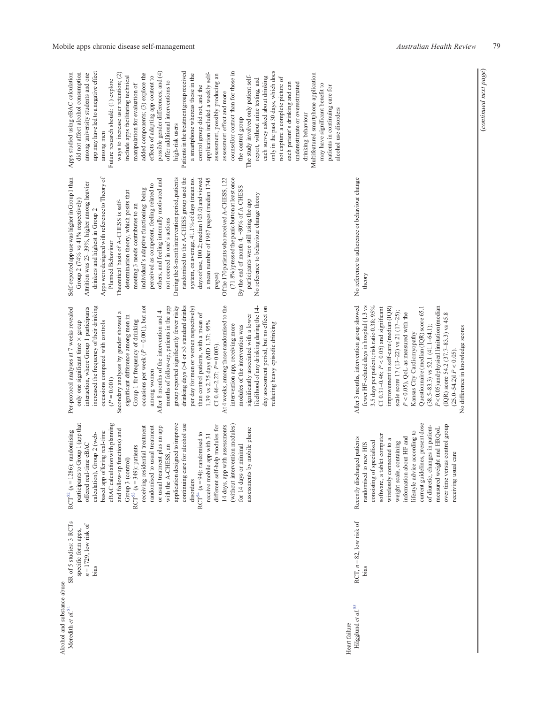| only in the past 30 days, which does<br>app may have led to a negative effect<br>possible gender differences; and (4)<br>Patients in the treatment group received<br>counsellor contact than for those in<br>application included a weekly self-<br>did not affect alcohol consumption<br>among university students and one<br>added components; (3) explore the<br>Apps studied using eBAC calculation<br>ways to increase user retention; (2)<br>Multifeatured smartphone application<br>a smartphone whereas those in the<br>assessment, possibly producing an<br>include apps facilitating technical<br>The study involved only patient self-<br>effects of adapting app content to<br>each survey asked about drinking<br>report, without urine testing, and<br>not capture a complete picture of<br>Future research should: (1) explore<br>offer additional interventions to<br>each patient's drinking and can<br>underestimate or overestimated<br>manipulation for evaluation of<br>may have significant benefit to<br>control group did not, and the<br>patients in continuing care for<br>assessment effect and more<br>alcohol use disorders<br>drinking behaviour<br>the control group<br>high-risk users<br>among men<br>randomised to the A-CHESS group used the<br>days of use, 100.2; median 103.0) and viewed<br>a mean number of 1967 pages (median 1745<br>(71.8%) pressed the panic button at least once<br>others, and feeling internally motivated and<br>system, on average, 41.1% of days (mean no. |                                                                                                                                                                                                                                                                                                                                                                                                                                                                                                                                                                                                          |
|------------------------------------------------------------------------------------------------------------------------------------------------------------------------------------------------------------------------------------------------------------------------------------------------------------------------------------------------------------------------------------------------------------------------------------------------------------------------------------------------------------------------------------------------------------------------------------------------------------------------------------------------------------------------------------------------------------------------------------------------------------------------------------------------------------------------------------------------------------------------------------------------------------------------------------------------------------------------------------------------------------------------------------------------------------------------------------------------------------------------------------------------------------------------------------------------------------------------------------------------------------------------------------------------------------------------------------------------------------------------------------------------------------------------------------------------------------------------------------------------------------------------------|----------------------------------------------------------------------------------------------------------------------------------------------------------------------------------------------------------------------------------------------------------------------------------------------------------------------------------------------------------------------------------------------------------------------------------------------------------------------------------------------------------------------------------------------------------------------------------------------------------|
| Apps were designed with reference to Theory of<br>Self-reported app use was higher in Group 1 than<br>During the 8-month intervention period, patients<br>Of the 170 patients who received A-CHESS, 122<br>Attrition was 23-39%, higher among heavier<br>perceived as competent, feeling related to<br>By the end of month 4, ~80% of A-CHESS<br>individual's adaptive functioning: being<br>determination theory, which posits that<br>No reference to behaviour change theory<br>Group 2 (74% vs 41% respectively)<br>participants were still using the app<br>Theoretical basis of A-CHESS is self-<br>meeting 3 needs contributes to an<br>drinkers and highest in Group 2<br>not coerced in one's actions<br>Planned Behaviour<br>pages)                                                                                                                                                                                                                                                                                                                                                                                                                                                                                                                                                                                                                                                                                                                                                                                | No reference to adherence or behaviour change<br>theory                                                                                                                                                                                                                                                                                                                                                                                                                                                                                                                                                  |
| drinking days (>4 or >3 standard drinks<br>occasions per week ( $P = 0.001$ ), but not<br>At 4 weeks, among those randomised to the<br>increased the frequency of their drinking<br>months of follow-up, patients in the app<br>group reported significantly fewer risky<br>interaction, where Group 1 participants<br>per day for men or women respectively)<br>ikelihood of any drinking during the 14-<br>day assessment period, but no effect on<br>Per-protocol analyses at 7 weeks revealed<br>After 8 months of the intervention and 4<br>Secondary analyses by gender showed a<br>than control patients, with a mean of<br>significantly associated with a lower<br>significant difference among men in<br>Group 1 for frequency of drinking<br>only one significant time $\times$ group<br>occasions compared with controls<br>1.39 vs 2.75 days (MD 1.37; 95%<br>reducing heavy episodic drinking<br>intervention app, receiving more<br>modules of the intervention was<br>$CI$ 0.46-2.27; $P=0.003$ ).<br>among women<br>$(P = 0.001)$                                                                                                                                                                                                                                                                                                                                                                                                                                                                           | fewer HF-related days in hospital (1.3 vs<br>$P < 0.05$ ) and physical limitation (median<br>After 3 months, intervention group showed<br>3.5 days per patient; risk ratio 0.38; 95%<br>CI 0.31-0.46; $P < 0.05$ ) and significant<br>improvement in self-care (median (IQR)<br>Questionnaire (median (IQR) score 65.1<br>scale score 17 (13-22) vs 21 (17-25);<br>$P < 0.05$ ), QoL as measured with the<br>$(1QR)$ score 54.2 $(37.7-83.3)$ vs 45.8<br>$(38.5 - 83.3)$ vs 52.1 $(41.1 - 64.1)$ ;<br>No difference in knowledge scores<br>Kansas City Cardiomyopathy<br>$(25.0 - 54.2)$ l $P < 0.05$ ). |
| eBAC calculation with planning<br>application designed to improve<br>participants to Group 1 (app that<br>continuing care for alcohol use<br>(without intervention modules)<br>p modules for<br>14 days, app with assessments<br>receiving residential treatment<br>or usual treatment plus an app<br>randomised to usual treatment<br>assessments by mobile phone<br>and follow-up functions) and<br>RCT <sup>52</sup> ( $n = 1286$ ): randomising<br>based app offering real-time<br>calculation), Group 2 (web-<br>RCT <sup>54</sup> ( $n = 94$ ): randomised to<br>receive mobile app with 31<br>offered real-time eBAC<br>for 14 days or minimal<br>RCT <sup>53</sup> ( $n = 349$ ): patients<br>with the A-CHESS, an<br>Group 3 (control)<br>different self-hel-<br>disorders                                                                                                                                                                                                                                                                                                                                                                                                                                                                                                                                                                                                                                                                                                                                          | current guidelines, present dose<br>over time versus control group<br>of diuretic, changes in patient-<br>and HRQoL<br>lifestyle advice according to<br>computer<br>information about HF and<br>1 patients<br>wirelessly connected to a<br>consisting of specialised<br>weight scale, containing<br>randomised to new HIS<br>receiving usual care<br>Recently discharged<br>software, a tablet<br>measured weight                                                                                                                                                                                        |
| SR of 5 studies: 3 RCTs<br>$n = 1729$ , low risk of<br>specific form apps,<br>bias                                                                                                                                                                                                                                                                                                                                                                                                                                                                                                                                                                                                                                                                                                                                                                                                                                                                                                                                                                                                                                                                                                                                                                                                                                                                                                                                                                                                                                           | RCT, $n = 82$ , low risk of<br>bias                                                                                                                                                                                                                                                                                                                                                                                                                                                                                                                                                                      |
| Meredith et al. <sup>51</sup>                                                                                                                                                                                                                                                                                                                                                                                                                                                                                                                                                                                                                                                                                                                                                                                                                                                                                                                                                                                                                                                                                                                                                                                                                                                                                                                                                                                                                                                                                                | Hägglund et al. <sup>55</sup><br>Heart failure                                                                                                                                                                                                                                                                                                                                                                                                                                                                                                                                                           |

Alcohol and substance abuse

Alcohol and substance abuse

(continued next page) (*continued next page*)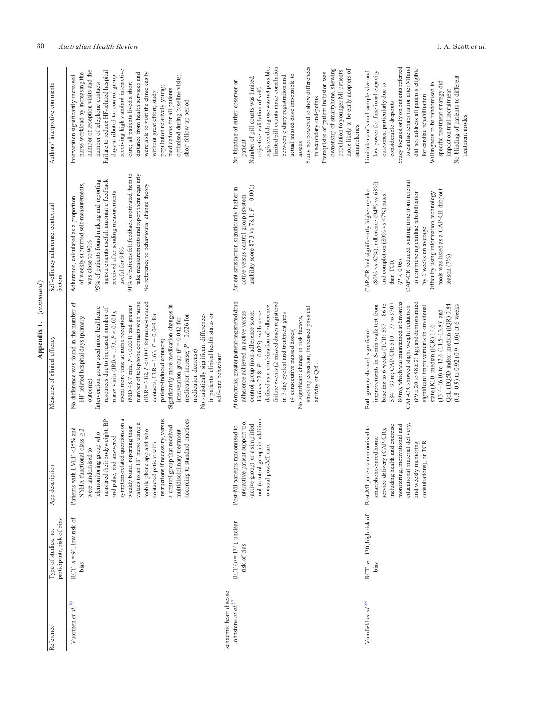| Reference                                                | participants, risk of bias<br>Type of studies, no. | App description                                                                                                                                                                                                                                                                                                                                                                                                                                                               | Measures of clinical efficacy                                                                                                                                                                                                                                                                                                                                                                                                                                                                                                                                                                                                                                                                                                                | Self-efficacy adherence, contextual<br>factors                                                                                                                                                                                                                                                                                                                                                       | Authors' interpretive comments                                                                                                                                                                                                                                                                                                                                                                                                                                                                                                                     |
|----------------------------------------------------------|----------------------------------------------------|-------------------------------------------------------------------------------------------------------------------------------------------------------------------------------------------------------------------------------------------------------------------------------------------------------------------------------------------------------------------------------------------------------------------------------------------------------------------------------|----------------------------------------------------------------------------------------------------------------------------------------------------------------------------------------------------------------------------------------------------------------------------------------------------------------------------------------------------------------------------------------------------------------------------------------------------------------------------------------------------------------------------------------------------------------------------------------------------------------------------------------------------------------------------------------------------------------------------------------------|------------------------------------------------------------------------------------------------------------------------------------------------------------------------------------------------------------------------------------------------------------------------------------------------------------------------------------------------------------------------------------------------------|----------------------------------------------------------------------------------------------------------------------------------------------------------------------------------------------------------------------------------------------------------------------------------------------------------------------------------------------------------------------------------------------------------------------------------------------------------------------------------------------------------------------------------------------------|
| Ischaemic heart disease<br>Vuorinen et al. <sup>56</sup> | RCT, $n=94$ , low risk of<br>bias                  | symptom-related questions on a<br>measured their bodyweight, BP<br>instructions if necessary, versus<br>according to standard practices<br>values to an HF nurse using a<br>a control group that received<br>weekly basis, reporting their<br>LVEF <35% and<br>mobile phone app and who<br>NYHA functional class ≥2<br>multidisciplinary treatment<br>telemonitoring group who<br>and answered<br>contacted patient with<br>were randomised to<br>and pulse,<br>Patients with | (IRR = 3.82, $P < 0.001$ for nurse-induced<br>number of telephone contacts with nurse<br>No difference was found in the number of<br>Significantly more medication changes in<br>(MD 48.7 min, $P < 0.001$ ) and greater<br>Intervention group used more healthcare<br>resources due to increased number of<br>nurse visits (IRR = 1.73, $P < 0.001$ ),<br>contacts; IRR = $1.63$ , $P = 0.049$ for<br>spent more time at nurse reception<br>No statistically significant differences<br>in patients' clinical health status or<br>medication increase; $P = 0.026$ for<br>HF-related hospital days (primary<br>intervention group ( $P = 0.042$ for<br>patient-induced contacts)<br>medication decrease)<br>self-care behaviour<br>outcome) | 91% of patients felt feedback motivated them to<br>take measurements and report them regularly<br>measurements useful; automatic feedback<br>95% of patients found making and reporting<br>of weekly submitted self-measurements,<br>No reference to behavioural change theory<br>received after sending measurements<br>Adherence, calculated as a proportion<br>was close to 90%<br>useful for 91% | receiving high standard interactive<br>number of reception visits and the<br>Failure to reduce HF-related hospital<br>distance from health services and<br>were able to visit the clinic easily<br>nurse workload by increasing the<br>days attributed to: control group<br>Intervention significantly increased<br>optimised during baseline visits;<br>care; all patients lived a short<br>number of telephone contacts<br>population relatively young;<br>medications for all patients<br>without great effort; study<br>short follow-up period |
| Johnstone et al. $57$                                    | RCT $(n = 174)$ , unclear<br>risk of bias          | tool (control group) in addition<br>interactive patient support tool<br>(active group) or a simplified<br>Post-MI patients randomised to<br>to usual post-MI care                                                                                                                                                                                                                                                                                                             | At 6 months, greater patient-registered drug<br>failure events (2 missed doses registered<br>defined as a combination of adherence<br>smoking cessation, increased physical<br>adherence achieved in active versus<br>control group (non-adherence score:<br>16.6 vs 22.8; $P = 0.025$ ), with score<br>in 7-day cycles) and treatment gaps<br>No significant change in risk factors,<br>(4 consecutive missed doses)<br>activity or QoL                                                                                                                                                                                                                                                                                                     | usability score 87.3 vs 78.1; $P = 0.001$ )<br>Patient satisfaction significantly higher in<br>active versus control group (system                                                                                                                                                                                                                                                                   | limited pill counts made correlation<br>Study not powered to show differences<br>registered drug use was not possible;<br>ownership of smartphone, skewing<br>more likely to be early adopters of<br>population to younger MI patients<br>Prerequisite of patient inclusion was<br>actual missed dose impossible to<br>between e-diary registration and<br>Number of pill counts was limited;<br>No blinding of either observer or<br>objective validation of self-<br>in secondary end-points<br>smartphones<br>patient<br>assess                 |
| Varnfield $et\,al.^{\rm 58}$                             | RCT, $n = 120$ , high risk of<br>bias              | monitoring, motivational and<br>educational material delivery,<br>including health and exercise<br>Post-MI patients randomised to<br>service delivery (CAP-CR),<br>smartphone-based home<br>consultations), or TCR<br>and weekly mentoring                                                                                                                                                                                                                                    | 80 m), which was maintained at 6 months<br>584 ± 99 m; CAP-CR: 510 ± 77 to 570 ±<br>$(89 \pm 20 \text{ to } 88 \pm 21 \text{ kg})$ and demonstrated<br>baseline to 6 weeks (TCR: $537 \pm 86$ to<br>QoL (EQ5D index: median (IQR) 0.84<br>improvements in 6-min walk test from<br>$(0.8-0.9)$ to 0.92 $(0.9-1.0)$ at 6 weeks<br>significant improvements in emotional<br>CAP-CR showed slight weight reduction<br>$(13.4 - 16.0)$ to 12.6 (11.5-13.8)) and<br>state (K10: median (IQR) 14.6<br>Both groups showed significant                                                                                                                                                                                                                | CAP-CR reduced waiting time from referral<br>(80% vs 62%), adherence (94% vs 68%)<br>tools was listed as a CAP-CR dropout<br>CAP-CR had significantly higher uptake<br>to commencing cardiac rehabilitation<br>Difficulty using information technology<br>and completion (80% vs 47%) rates<br>by 2 weeks on average<br>reason $(7\%)$<br>(P < 0.05)<br>than TCR                                     | to cardiac rehabilitation after MI and<br>Study focused only on patients referred<br>did not address all patients eligible<br>Limitations of small sample size and<br>low power for functional capacity<br>No blinding of patients to different<br>specific treatment strategy did<br>Willingness to be randomised to<br>outcomes, particularly due to<br>impact on trial recruitment<br>for cardiac rehabilitation<br>considerable dropouts<br>treatment modes                                                                                    |

**Appendix 1.** (*continued* )

Appendix 1. (continued)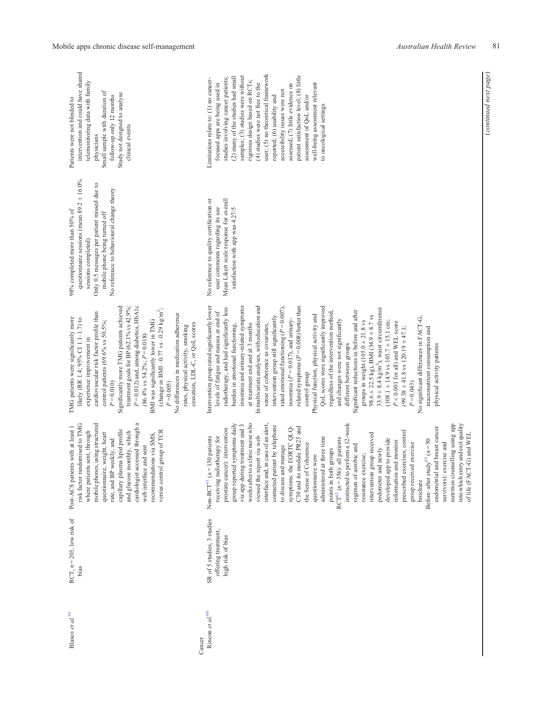| intervention and could have shared<br>telemonitoring data with family<br>Small sample with duration of<br>Study not designed to analyse<br>follow-up only 12 months<br>Patients were not blinded to<br>clinical events<br>physicians                                                                                                                                                                                                                                                                                                                                                          | user; (5) no theoretical framework<br>samples; (3) studies were without<br>patient satisfaction level; (8) little<br>(2) many of the studies had small<br>studies involving cancer patients;<br>Limitations relate to: (1) no cancer-<br>rigorous design based on RCTs;<br>well-being assessment relevant<br>focused apps are being used in<br>(4) studies were not free to the<br>assessed; (7) little evidence on<br>accessibility issues were not<br>assessment of QoL and/or<br>reported; (6) usability and<br>to oncological settings                                                                                                                                                                                                                                                                                                                                                                                                                                                                                                                                                                                                                                                                               | (continued next page) |
|-----------------------------------------------------------------------------------------------------------------------------------------------------------------------------------------------------------------------------------------------------------------------------------------------------------------------------------------------------------------------------------------------------------------------------------------------------------------------------------------------------------------------------------------------------------------------------------------------|--------------------------------------------------------------------------------------------------------------------------------------------------------------------------------------------------------------------------------------------------------------------------------------------------------------------------------------------------------------------------------------------------------------------------------------------------------------------------------------------------------------------------------------------------------------------------------------------------------------------------------------------------------------------------------------------------------------------------------------------------------------------------------------------------------------------------------------------------------------------------------------------------------------------------------------------------------------------------------------------------------------------------------------------------------------------------------------------------------------------------------------------------------------------------------------------------------------------------|-----------------------|
| questionnaire sessions (mean 89.2 $\pm$ 16.0%<br>Only 0.5 messages per patient missed due to<br>No reference to behavioural change theory<br>98% completed more than 50% of<br>mobile phone being turned off<br>sessions completed)                                                                                                                                                                                                                                                                                                                                                           | No reference to quality certification or<br>Mean Likert scale response for overall<br>user comments regarding its use<br>satisfaction with app was 4.27/5                                                                                                                                                                                                                                                                                                                                                                                                                                                                                                                                                                                                                                                                                                                                                                                                                                                                                                                                                                                                                                                                |                       |
| P = 0.012) and, among diabetics, HbA1c<br>Significantly more TMG patients achieved<br>treatment goals for BP (62.1% vs 42.9%;<br>(change in BMI -0.77 vs -0.29 $kg/m^2$ ;<br>cardiovascular risk factor profile than<br>No differences in medication adherence<br>TMG patients were significantly more<br>likely (RR 1.4; 95% CI 1.1-1.7) to<br>BMI was significantly lower in TMG<br>control patients (69.6% vs 50.5%;<br>cessation, LDL-C, or QoL scores<br>rates, physical activity, smoking<br>$(86.4\%$ vs 54.2%; $P=0.018$ )<br>experience improvement in<br>$P = 0.010$<br>$P = 0.005$ | Intervention group rated significantly lower<br>QoL scores were significantly improved<br>insomnia and urinary-related symptoms<br>In multivariate analyses, with education and<br>related symptoms ( $P = 0.008$ ) better than<br>rated emotional functioning ( $P = 0.007$ ),<br>33.9 ± 8.4 $\text{kg/m}^2$ ), waist circumference<br>radiotherapy, and had significantly less<br>Significant reductions in before and after<br>regardless of the intervention method,<br>levels of fatigue and nausea at end of<br>Physical function, physical activity and<br>98.6 ± 22.5 kg), BMI (34.9 ± 8.7 vs<br>intervention group still significantly<br>No significant differences in FACT-G,<br>insomnia ( $P = 0.017$ ), and urinary-<br>and changes were not significantly<br>groups in weight $(105.0 \pm 21.8 \text{ vs }$<br>$(108.1 \pm 14.9 \text{ vs } 103.7 \pm 15.1 \text{ cm};$<br>$P < 0.001$ for all) and WEL score<br>sense of coherence as covariates,<br>at treatment end and at 3 months<br>burden in emotional functioning,<br>macronutrient consumption and<br>$(99.38 \pm 41.8 \text{ vs } 120.19 \pm 47.1)$ ;<br>physical activity patterns<br>different between groups<br>control group<br>$P = 0.043$ |                       |
| cardiologist accessed through a<br>mobile phones, using structured<br>risk factor randomised to TMG<br>Post-ACS patients with at least 1<br>capillary plasma lipid profile<br>where patients sent, through<br>and glucose monthly, which<br>versus control group of TCR<br>questionnaire, weight, heart<br>recommendations via SMS,<br>rate, and BP weekly, and<br>web interface and sent                                                                                                                                                                                                     | nutrition counselling using app<br>group reported symptoms daily<br>weeks after to a clinic nurse who<br>instructed to perform a 12-week<br>into which entry and exit quality<br>interface and, in case of an alert,<br>via app during treatment and 3<br>contacted patient by telephone<br>C30 and its module PR25 and<br>endometrial and breast cancer<br>symptoms; the EORTC QLQ-<br>prostate cancer): intervention<br>prescribed exercises; control<br>intervention group received<br>of life (FACT-G) and WEL<br>viewed the report via web<br>Non-RCT <sup>61</sup> ( $n = 130$ patients<br>receiving radiotherapy for<br>administered at three time<br>RCT <sup>62</sup> ( $n=356$ ): all patients<br>Before–after study <sup>63</sup> ( $n = 50$<br>developed app to provide<br>information and monitor<br>survivors): exercise and<br>group received exercise<br>the Sense of Coherence<br>to discuss and manage<br>regimen of aerobic and<br>pedometer and newly<br>points in both groups<br>resistance exercise;<br>questionnaire were<br>brochure                                                                                                                                                             |                       |
| RCT, $n = 203$ , low risk of<br>bias                                                                                                                                                                                                                                                                                                                                                                                                                                                                                                                                                          | SR of 5 studies, 3 studies<br>offering treatment,<br>high risk of bias                                                                                                                                                                                                                                                                                                                                                                                                                                                                                                                                                                                                                                                                                                                                                                                                                                                                                                                                                                                                                                                                                                                                                   |                       |
| Blasco et al. <sup>59</sup><br>Cancer                                                                                                                                                                                                                                                                                                                                                                                                                                                                                                                                                         | Rincon et al. $\rm ^{60}$                                                                                                                                                                                                                                                                                                                                                                                                                                                                                                                                                                                                                                                                                                                                                                                                                                                                                                                                                                                                                                                                                                                                                                                                |                       |